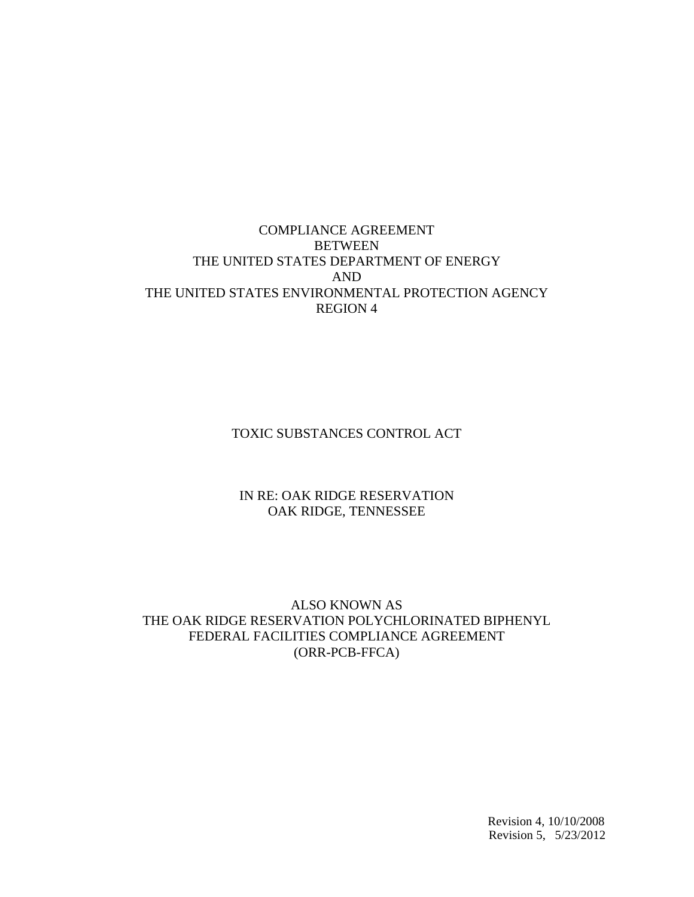# COMPLIANCE AGREEMENT **BETWEEN** THE UNITED STATES DEPARTMENT OF ENERGY AND THE UNITED STATES ENVIRONMENTAL PROTECTION AGENCY REGION 4

TOXIC SUBSTANCES CONTROL ACT

### IN RE: OAK RIDGE RESERVATION OAK RIDGE, TENNESSEE

### ALSO KNOWN AS THE OAK RIDGE RESERVATION POLYCHLORINATED BIPHENYL FEDERAL FACILITIES COMPLIANCE AGREEMENT (ORR-PCB-FFCA)

 Revision 4, 10/10/2008 Revision 5, 5/23/2012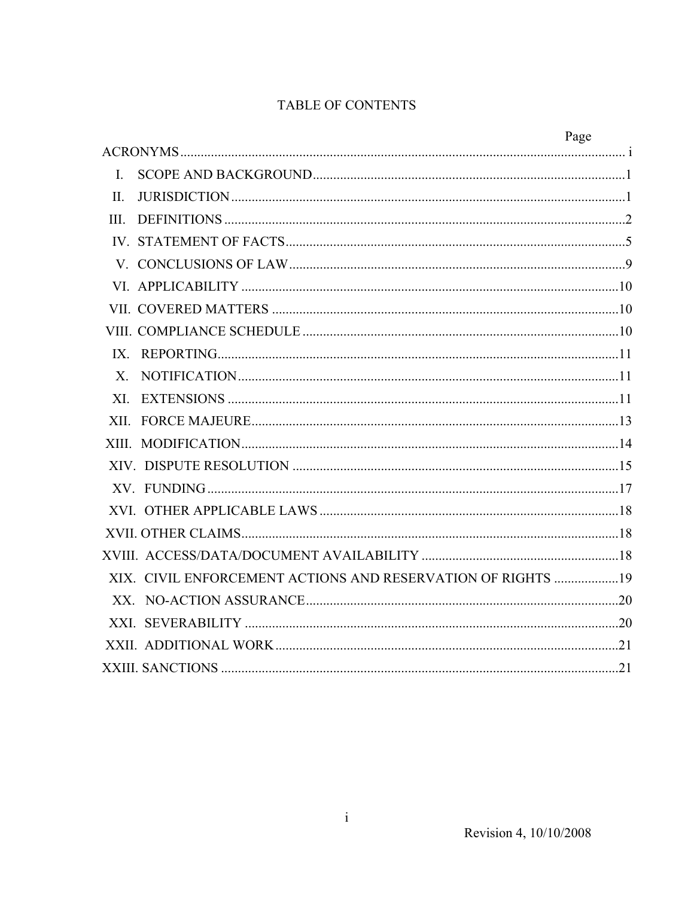# TABLE OF CONTENTS

|              |                                                             | Page |
|--------------|-------------------------------------------------------------|------|
|              |                                                             |      |
| $\mathbf{L}$ |                                                             |      |
| $\prod$ .    |                                                             |      |
| III.         |                                                             |      |
|              |                                                             |      |
|              |                                                             |      |
|              |                                                             |      |
|              |                                                             |      |
|              |                                                             |      |
|              |                                                             |      |
|              |                                                             |      |
|              |                                                             |      |
|              |                                                             |      |
|              |                                                             |      |
|              |                                                             |      |
|              |                                                             |      |
|              |                                                             |      |
|              |                                                             |      |
|              |                                                             |      |
|              | XIX. CIVIL ENFORCEMENT ACTIONS AND RESERVATION OF RIGHTS 19 |      |
|              |                                                             |      |
|              |                                                             |      |
|              |                                                             |      |
|              |                                                             |      |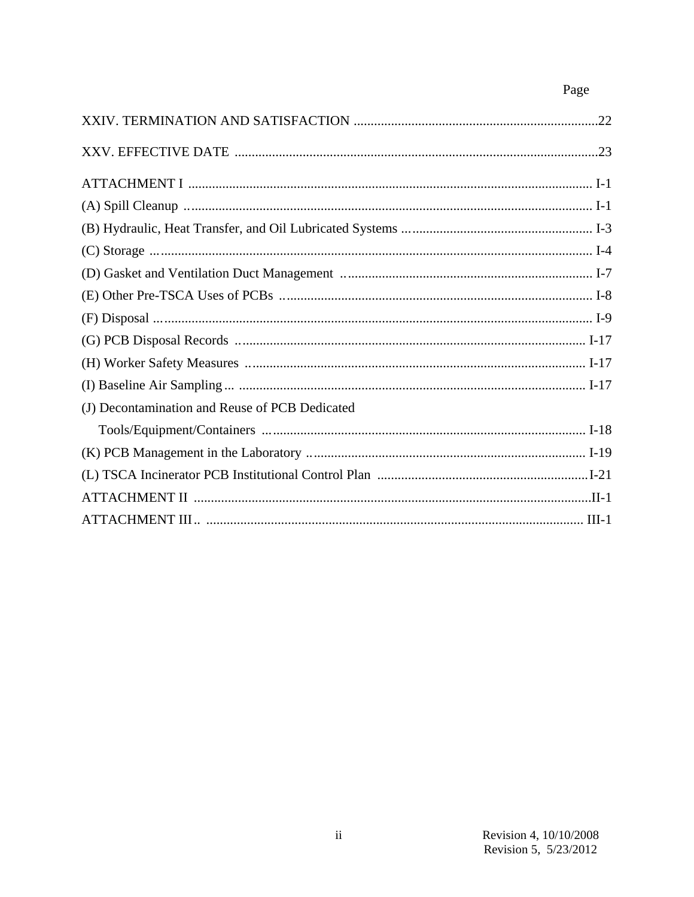# Page

| (J) Decontamination and Reuse of PCB Dedicated |  |
|------------------------------------------------|--|
|                                                |  |
|                                                |  |
|                                                |  |
|                                                |  |
|                                                |  |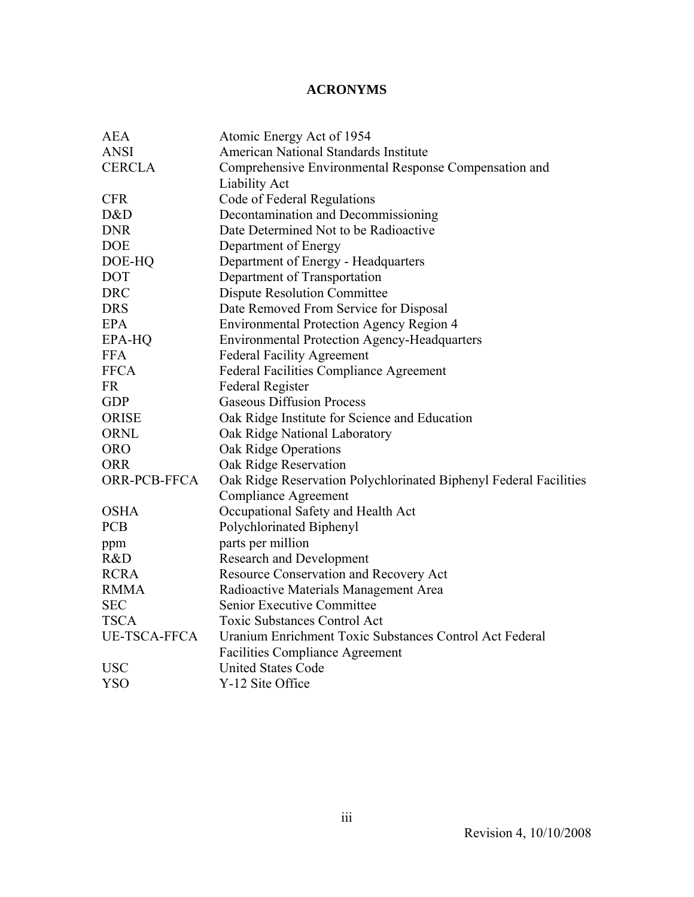# **ACRONYMS**

| <b>AEA</b>          | Atomic Energy Act of 1954                                         |  |  |
|---------------------|-------------------------------------------------------------------|--|--|
| <b>ANSI</b>         | American National Standards Institute                             |  |  |
| <b>CERCLA</b>       | Comprehensive Environmental Response Compensation and             |  |  |
|                     | <b>Liability Act</b>                                              |  |  |
| <b>CFR</b>          | Code of Federal Regulations                                       |  |  |
| D&D                 | Decontamination and Decommissioning                               |  |  |
| <b>DNR</b>          | Date Determined Not to be Radioactive                             |  |  |
| <b>DOE</b>          | Department of Energy                                              |  |  |
| DOE-HQ              | Department of Energy - Headquarters                               |  |  |
| <b>DOT</b>          | Department of Transportation                                      |  |  |
| <b>DRC</b>          | <b>Dispute Resolution Committee</b>                               |  |  |
| <b>DRS</b>          | Date Removed From Service for Disposal                            |  |  |
| <b>EPA</b>          | <b>Environmental Protection Agency Region 4</b>                   |  |  |
| EPA-HQ              | <b>Environmental Protection Agency-Headquarters</b>               |  |  |
| <b>FFA</b>          | <b>Federal Facility Agreement</b>                                 |  |  |
| <b>FFCA</b>         | <b>Federal Facilities Compliance Agreement</b>                    |  |  |
| <b>FR</b>           | <b>Federal Register</b>                                           |  |  |
| <b>GDP</b>          | <b>Gaseous Diffusion Process</b>                                  |  |  |
| <b>ORISE</b>        | Oak Ridge Institute for Science and Education                     |  |  |
| <b>ORNL</b>         | Oak Ridge National Laboratory                                     |  |  |
| <b>ORO</b>          | Oak Ridge Operations                                              |  |  |
| <b>ORR</b>          | Oak Ridge Reservation                                             |  |  |
| ORR-PCB-FFCA        | Oak Ridge Reservation Polychlorinated Biphenyl Federal Facilities |  |  |
|                     | <b>Compliance Agreement</b>                                       |  |  |
| <b>OSHA</b>         | Occupational Safety and Health Act                                |  |  |
| <b>PCB</b>          | Polychlorinated Biphenyl                                          |  |  |
| ppm                 | parts per million                                                 |  |  |
| R&D                 | <b>Research and Development</b>                                   |  |  |
| <b>RCRA</b>         | Resource Conservation and Recovery Act                            |  |  |
| <b>RMMA</b>         | Radioactive Materials Management Area                             |  |  |
| <b>SEC</b>          | Senior Executive Committee                                        |  |  |
| <b>TSCA</b>         | <b>Toxic Substances Control Act</b>                               |  |  |
| <b>UE-TSCA-FFCA</b> | Uranium Enrichment Toxic Substances Control Act Federal           |  |  |
|                     | <b>Facilities Compliance Agreement</b>                            |  |  |
| <b>USC</b>          | <b>United States Code</b>                                         |  |  |
| <b>YSO</b>          | Y-12 Site Office                                                  |  |  |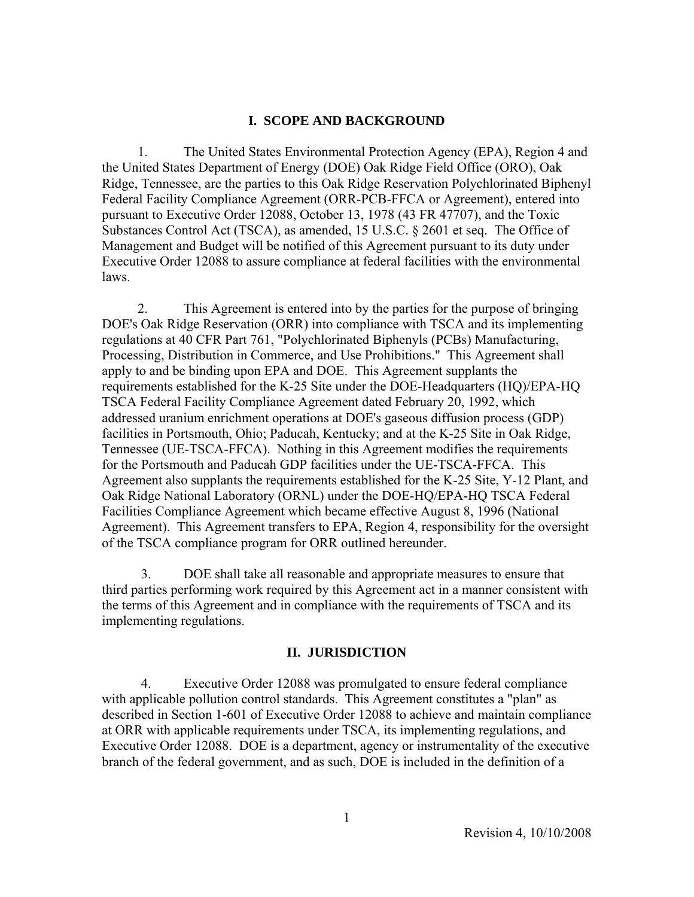#### **I. SCOPE AND BACKGROUND**

 1. The United States Environmental Protection Agency (EPA), Region 4 and the United States Department of Energy (DOE) Oak Ridge Field Office (ORO), Oak Ridge, Tennessee, are the parties to this Oak Ridge Reservation Polychlorinated Biphenyl Federal Facility Compliance Agreement (ORR-PCB-FFCA or Agreement), entered into pursuant to Executive Order 12088, October 13, 1978 (43 FR 47707), and the Toxic Substances Control Act (TSCA), as amended, 15 U.S.C. § 2601 et seq. The Office of Management and Budget will be notified of this Agreement pursuant to its duty under Executive Order 12088 to assure compliance at federal facilities with the environmental laws.

 2. This Agreement is entered into by the parties for the purpose of bringing DOE's Oak Ridge Reservation (ORR) into compliance with TSCA and its implementing regulations at 40 CFR Part 761, "Polychlorinated Biphenyls (PCBs) Manufacturing, Processing, Distribution in Commerce, and Use Prohibitions." This Agreement shall apply to and be binding upon EPA and DOE. This Agreement supplants the requirements established for the K-25 Site under the DOE-Headquarters (HQ)/EPA-HQ TSCA Federal Facility Compliance Agreement dated February 20, 1992, which addressed uranium enrichment operations at DOE's gaseous diffusion process (GDP) facilities in Portsmouth, Ohio; Paducah, Kentucky; and at the K-25 Site in Oak Ridge, Tennessee (UE-TSCA-FFCA). Nothing in this Agreement modifies the requirements for the Portsmouth and Paducah GDP facilities under the UE-TSCA-FFCA. This Agreement also supplants the requirements established for the K-25 Site, Y-12 Plant, and Oak Ridge National Laboratory (ORNL) under the DOE-HQ/EPA-HQ TSCA Federal Facilities Compliance Agreement which became effective August 8, 1996 (National Agreement). This Agreement transfers to EPA, Region 4, responsibility for the oversight of the TSCA compliance program for ORR outlined hereunder.

 3. DOE shall take all reasonable and appropriate measures to ensure that third parties performing work required by this Agreement act in a manner consistent with the terms of this Agreement and in compliance with the requirements of TSCA and its implementing regulations.

#### **II. JURISDICTION**

 4. Executive Order 12088 was promulgated to ensure federal compliance with applicable pollution control standards. This Agreement constitutes a "plan" as described in Section 1-601 of Executive Order 12088 to achieve and maintain compliance at ORR with applicable requirements under TSCA, its implementing regulations, and Executive Order 12088. DOE is a department, agency or instrumentality of the executive branch of the federal government, and as such, DOE is included in the definition of a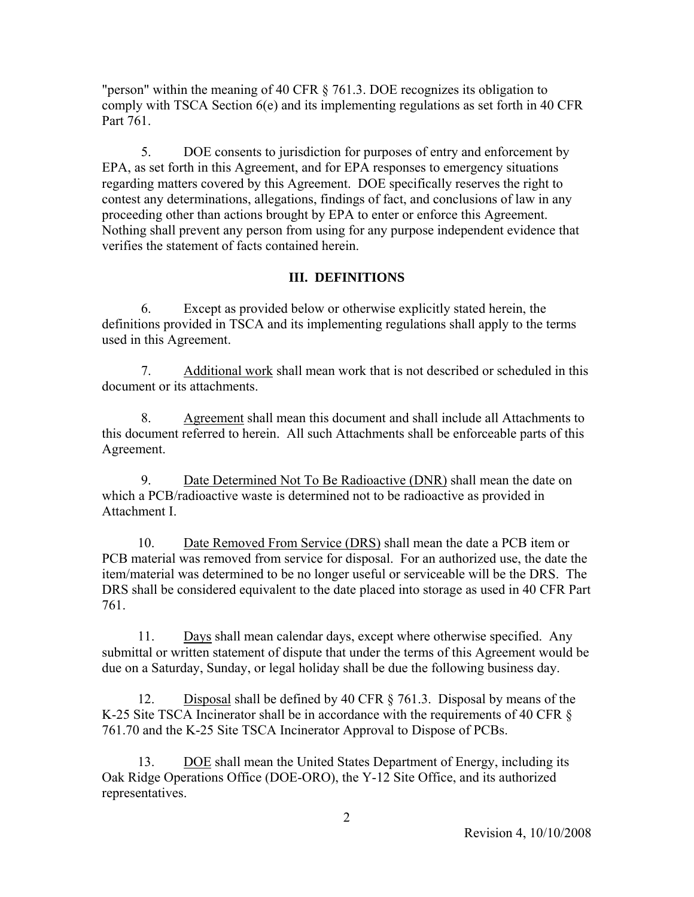"person" within the meaning of 40 CFR § 761.3. DOE recognizes its obligation to comply with TSCA Section 6(e) and its implementing regulations as set forth in 40 CFR Part 761.

 5. DOE consents to jurisdiction for purposes of entry and enforcement by EPA, as set forth in this Agreement, and for EPA responses to emergency situations regarding matters covered by this Agreement. DOE specifically reserves the right to contest any determinations, allegations, findings of fact, and conclusions of law in any proceeding other than actions brought by EPA to enter or enforce this Agreement. Nothing shall prevent any person from using for any purpose independent evidence that verifies the statement of facts contained herein.

### **III. DEFINITIONS**

 6. Except as provided below or otherwise explicitly stated herein, the definitions provided in TSCA and its implementing regulations shall apply to the terms used in this Agreement.

 7. Additional work shall mean work that is not described or scheduled in this document or its attachments.

 8. Agreement shall mean this document and shall include all Attachments to this document referred to herein. All such Attachments shall be enforceable parts of this Agreement.

 9. Date Determined Not To Be Radioactive (DNR) shall mean the date on which a PCB/radioactive waste is determined not to be radioactive as provided in Attachment I.

 10. Date Removed From Service (DRS) shall mean the date a PCB item or PCB material was removed from service for disposal. For an authorized use, the date the item/material was determined to be no longer useful or serviceable will be the DRS. The DRS shall be considered equivalent to the date placed into storage as used in 40 CFR Part 761.

 11. Days shall mean calendar days, except where otherwise specified. Any submittal or written statement of dispute that under the terms of this Agreement would be due on a Saturday, Sunday, or legal holiday shall be due the following business day.

 12. Disposal shall be defined by 40 CFR § 761.3. Disposal by means of the K-25 Site TSCA Incinerator shall be in accordance with the requirements of 40 CFR § 761.70 and the K-25 Site TSCA Incinerator Approval to Dispose of PCBs.

 13. DOE shall mean the United States Department of Energy, including its Oak Ridge Operations Office (DOE-ORO), the Y-12 Site Office, and its authorized representatives.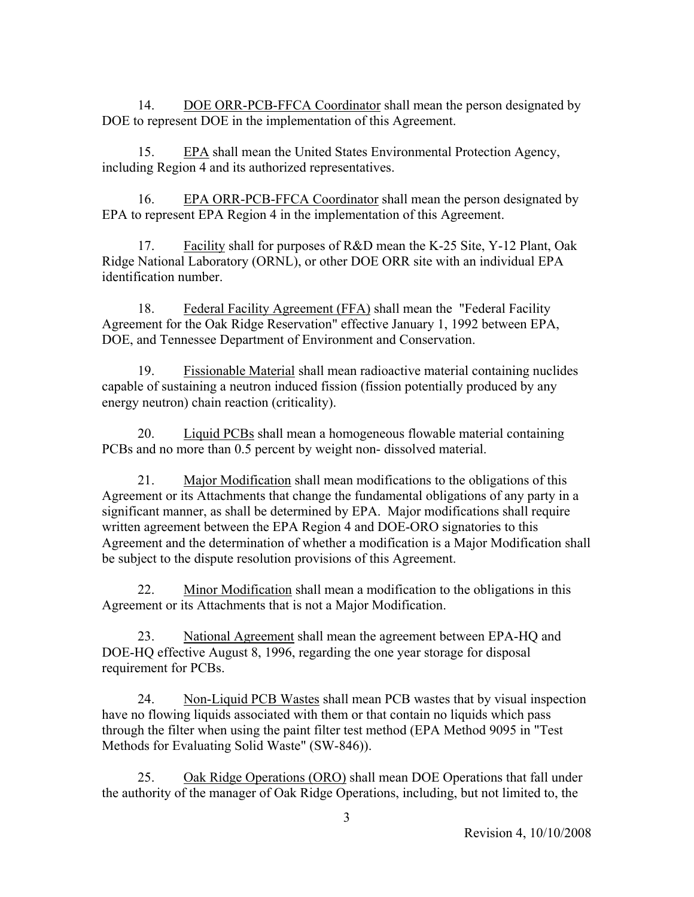14. DOE ORR-PCB-FFCA Coordinator shall mean the person designated by DOE to represent DOE in the implementation of this Agreement.

 15. EPA shall mean the United States Environmental Protection Agency, including Region 4 and its authorized representatives.

 16. EPA ORR-PCB-FFCA Coordinator shall mean the person designated by EPA to represent EPA Region 4 in the implementation of this Agreement.

 17. Facility shall for purposes of R&D mean the K-25 Site, Y-12 Plant, Oak Ridge National Laboratory (ORNL), or other DOE ORR site with an individual EPA identification number.

 18. Federal Facility Agreement (FFA) shall mean the "Federal Facility Agreement for the Oak Ridge Reservation" effective January 1, 1992 between EPA, DOE, and Tennessee Department of Environment and Conservation.

 19. Fissionable Material shall mean radioactive material containing nuclides capable of sustaining a neutron induced fission (fission potentially produced by any energy neutron) chain reaction (criticality).

 20. Liquid PCBs shall mean a homogeneous flowable material containing PCBs and no more than 0.5 percent by weight non- dissolved material.

 21. Major Modification shall mean modifications to the obligations of this Agreement or its Attachments that change the fundamental obligations of any party in a significant manner, as shall be determined by EPA. Major modifications shall require written agreement between the EPA Region 4 and DOE-ORO signatories to this Agreement and the determination of whether a modification is a Major Modification shall be subject to the dispute resolution provisions of this Agreement.

 22. Minor Modification shall mean a modification to the obligations in this Agreement or its Attachments that is not a Major Modification.

 23. National Agreement shall mean the agreement between EPA-HQ and DOE-HQ effective August 8, 1996, regarding the one year storage for disposal requirement for PCBs.

 24. Non-Liquid PCB Wastes shall mean PCB wastes that by visual inspection have no flowing liquids associated with them or that contain no liquids which pass through the filter when using the paint filter test method (EPA Method 9095 in "Test Methods for Evaluating Solid Waste" (SW-846)).

 25. Oak Ridge Operations (ORO) shall mean DOE Operations that fall under the authority of the manager of Oak Ridge Operations, including, but not limited to, the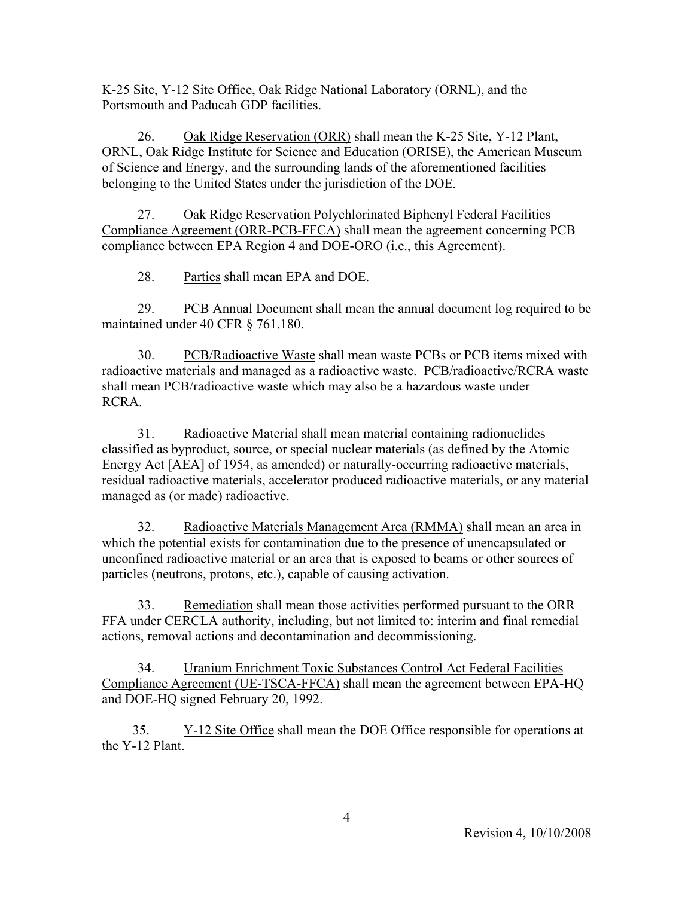K-25 Site, Y-12 Site Office, Oak Ridge National Laboratory (ORNL), and the Portsmouth and Paducah GDP facilities.

 26. Oak Ridge Reservation (ORR) shall mean the K-25 Site, Y-12 Plant, ORNL, Oak Ridge Institute for Science and Education (ORISE), the American Museum of Science and Energy, and the surrounding lands of the aforementioned facilities belonging to the United States under the jurisdiction of the DOE.

 27. Oak Ridge Reservation Polychlorinated Biphenyl Federal Facilities Compliance Agreement (ORR-PCB-FFCA) shall mean the agreement concerning PCB compliance between EPA Region 4 and DOE-ORO (i.e., this Agreement).

28. Parties shall mean EPA and DOE.

29. PCB Annual Document shall mean the annual document log required to be maintained under 40 CFR § 761.180.

 30. PCB/Radioactive Waste shall mean waste PCBs or PCB items mixed with radioactive materials and managed as a radioactive waste. PCB/radioactive/RCRA waste shall mean PCB/radioactive waste which may also be a hazardous waste under RCRA.

 31. Radioactive Material shall mean material containing radionuclides classified as byproduct, source, or special nuclear materials (as defined by the Atomic Energy Act [AEA] of 1954, as amended) or naturally-occurring radioactive materials, residual radioactive materials, accelerator produced radioactive materials, or any material managed as (or made) radioactive.

 32. Radioactive Materials Management Area (RMMA) shall mean an area in which the potential exists for contamination due to the presence of unencapsulated or unconfined radioactive material or an area that is exposed to beams or other sources of particles (neutrons, protons, etc.), capable of causing activation.

 33. Remediation shall mean those activities performed pursuant to the ORR FFA under CERCLA authority, including, but not limited to: interim and final remedial actions, removal actions and decontamination and decommissioning.

 34. Uranium Enrichment Toxic Substances Control Act Federal Facilities Compliance Agreement (UE-TSCA-FFCA) shall mean the agreement between EPA-HQ and DOE-HQ signed February 20, 1992.

 35. Y-12 Site Office shall mean the DOE Office responsible for operations at the Y-12 Plant.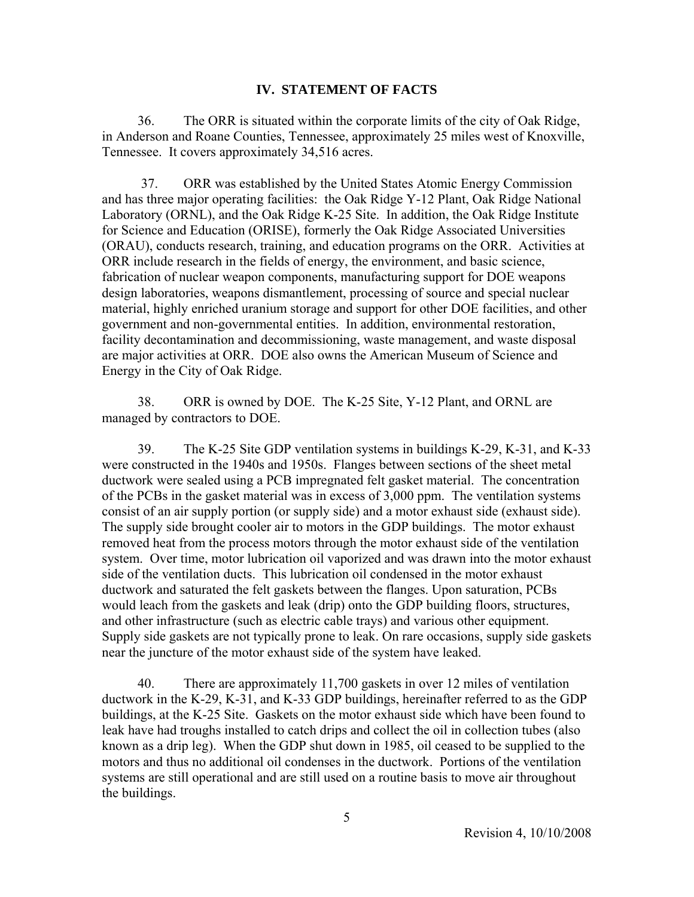#### **IV. STATEMENT OF FACTS**

 36. The ORR is situated within the corporate limits of the city of Oak Ridge, in Anderson and Roane Counties, Tennessee, approximately 25 miles west of Knoxville, Tennessee. It covers approximately 34,516 acres.

 37. ORR was established by the United States Atomic Energy Commission and has three major operating facilities: the Oak Ridge Y-12 Plant, Oak Ridge National Laboratory (ORNL), and the Oak Ridge K-25 Site. In addition, the Oak Ridge Institute for Science and Education (ORISE), formerly the Oak Ridge Associated Universities (ORAU), conducts research, training, and education programs on the ORR. Activities at ORR include research in the fields of energy, the environment, and basic science, fabrication of nuclear weapon components, manufacturing support for DOE weapons design laboratories, weapons dismantlement, processing of source and special nuclear material, highly enriched uranium storage and support for other DOE facilities, and other government and non-governmental entities. In addition, environmental restoration, facility decontamination and decommissioning, waste management, and waste disposal are major activities at ORR. DOE also owns the American Museum of Science and Energy in the City of Oak Ridge.

 38. ORR is owned by DOE. The K-25 Site, Y-12 Plant, and ORNL are managed by contractors to DOE.

 39. The K-25 Site GDP ventilation systems in buildings K-29, K-31, and K-33 were constructed in the 1940s and 1950s. Flanges between sections of the sheet metal ductwork were sealed using a PCB impregnated felt gasket material. The concentration of the PCBs in the gasket material was in excess of 3,000 ppm. The ventilation systems consist of an air supply portion (or supply side) and a motor exhaust side (exhaust side). The supply side brought cooler air to motors in the GDP buildings. The motor exhaust removed heat from the process motors through the motor exhaust side of the ventilation system. Over time, motor lubrication oil vaporized and was drawn into the motor exhaust side of the ventilation ducts. This lubrication oil condensed in the motor exhaust ductwork and saturated the felt gaskets between the flanges. Upon saturation, PCBs would leach from the gaskets and leak (drip) onto the GDP building floors, structures, and other infrastructure (such as electric cable trays) and various other equipment. Supply side gaskets are not typically prone to leak. On rare occasions, supply side gaskets near the juncture of the motor exhaust side of the system have leaked.

 40. There are approximately 11,700 gaskets in over 12 miles of ventilation ductwork in the K-29, K-31, and K-33 GDP buildings, hereinafter referred to as the GDP buildings, at the K-25 Site. Gaskets on the motor exhaust side which have been found to leak have had troughs installed to catch drips and collect the oil in collection tubes (also known as a drip leg). When the GDP shut down in 1985, oil ceased to be supplied to the motors and thus no additional oil condenses in the ductwork. Portions of the ventilation systems are still operational and are still used on a routine basis to move air throughout the buildings.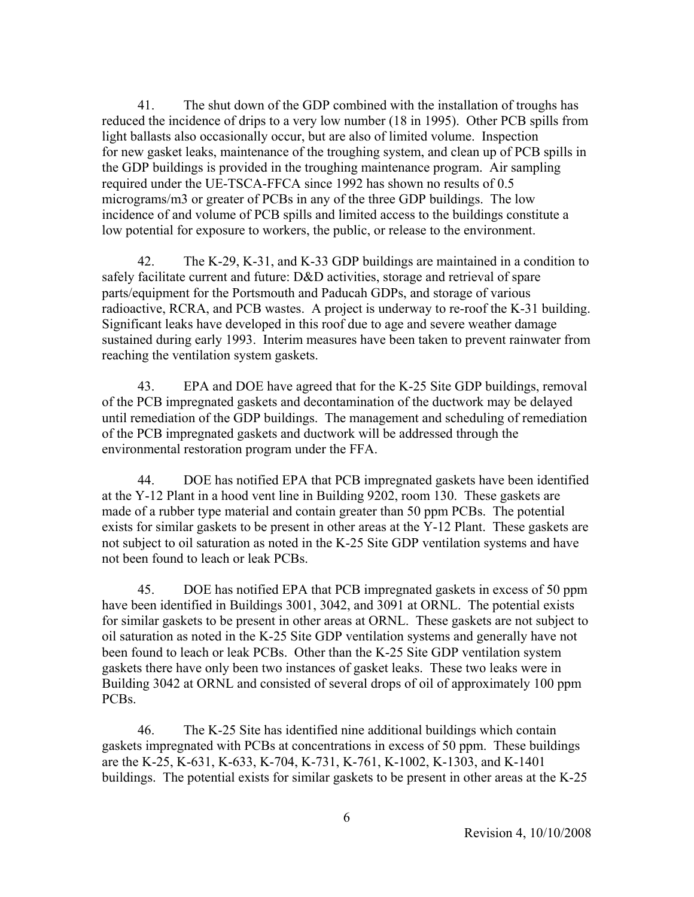41. The shut down of the GDP combined with the installation of troughs has reduced the incidence of drips to a very low number (18 in 1995). Other PCB spills from light ballasts also occasionally occur, but are also of limited volume. Inspection for new gasket leaks, maintenance of the troughing system, and clean up of PCB spills in the GDP buildings is provided in the troughing maintenance program. Air sampling required under the UE-TSCA-FFCA since 1992 has shown no results of 0.5 micrograms/m3 or greater of PCBs in any of the three GDP buildings. The low incidence of and volume of PCB spills and limited access to the buildings constitute a low potential for exposure to workers, the public, or release to the environment.

 42. The K-29, K-31, and K-33 GDP buildings are maintained in a condition to safely facilitate current and future: D&D activities, storage and retrieval of spare parts/equipment for the Portsmouth and Paducah GDPs, and storage of various radioactive, RCRA, and PCB wastes. A project is underway to re-roof the K-31 building. Significant leaks have developed in this roof due to age and severe weather damage sustained during early 1993. Interim measures have been taken to prevent rainwater from reaching the ventilation system gaskets.

 43. EPA and DOE have agreed that for the K-25 Site GDP buildings, removal of the PCB impregnated gaskets and decontamination of the ductwork may be delayed until remediation of the GDP buildings. The management and scheduling of remediation of the PCB impregnated gaskets and ductwork will be addressed through the environmental restoration program under the FFA.

 44. DOE has notified EPA that PCB impregnated gaskets have been identified at the Y-12 Plant in a hood vent line in Building 9202, room 130. These gaskets are made of a rubber type material and contain greater than 50 ppm PCBs. The potential exists for similar gaskets to be present in other areas at the Y-12 Plant. These gaskets are not subject to oil saturation as noted in the K-25 Site GDP ventilation systems and have not been found to leach or leak PCBs.

 45. DOE has notified EPA that PCB impregnated gaskets in excess of 50 ppm have been identified in Buildings 3001, 3042, and 3091 at ORNL. The potential exists for similar gaskets to be present in other areas at ORNL. These gaskets are not subject to oil saturation as noted in the K-25 Site GDP ventilation systems and generally have not been found to leach or leak PCBs. Other than the K-25 Site GDP ventilation system gaskets there have only been two instances of gasket leaks. These two leaks were in Building 3042 at ORNL and consisted of several drops of oil of approximately 100 ppm PCBs.

 46. The K-25 Site has identified nine additional buildings which contain gaskets impregnated with PCBs at concentrations in excess of 50 ppm. These buildings are the K-25, K-631, K-633, K-704, K-731, K-761, K-1002, K-1303, and K-1401 buildings. The potential exists for similar gaskets to be present in other areas at the K-25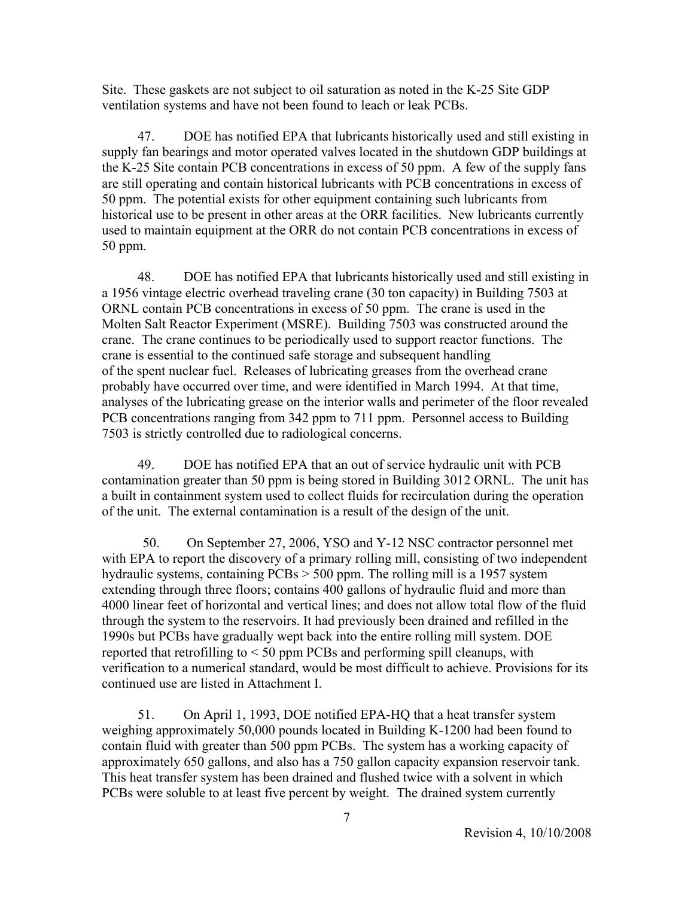Site. These gaskets are not subject to oil saturation as noted in the K-25 Site GDP ventilation systems and have not been found to leach or leak PCBs.

 47. DOE has notified EPA that lubricants historically used and still existing in supply fan bearings and motor operated valves located in the shutdown GDP buildings at the K-25 Site contain PCB concentrations in excess of 50 ppm. A few of the supply fans are still operating and contain historical lubricants with PCB concentrations in excess of 50 ppm. The potential exists for other equipment containing such lubricants from historical use to be present in other areas at the ORR facilities. New lubricants currently used to maintain equipment at the ORR do not contain PCB concentrations in excess of 50 ppm.

 48. DOE has notified EPA that lubricants historically used and still existing in a 1956 vintage electric overhead traveling crane (30 ton capacity) in Building 7503 at ORNL contain PCB concentrations in excess of 50 ppm. The crane is used in the Molten Salt Reactor Experiment (MSRE). Building 7503 was constructed around the crane. The crane continues to be periodically used to support reactor functions. The crane is essential to the continued safe storage and subsequent handling of the spent nuclear fuel. Releases of lubricating greases from the overhead crane probably have occurred over time, and were identified in March 1994. At that time, analyses of the lubricating grease on the interior walls and perimeter of the floor revealed PCB concentrations ranging from 342 ppm to 711 ppm. Personnel access to Building 7503 is strictly controlled due to radiological concerns.

 49. DOE has notified EPA that an out of service hydraulic unit with PCB contamination greater than 50 ppm is being stored in Building 3012 ORNL. The unit has a built in containment system used to collect fluids for recirculation during the operation of the unit. The external contamination is a result of the design of the unit.

50. On September 27, 2006, YSO and Y-12 NSC contractor personnel met with EPA to report the discovery of a primary rolling mill, consisting of two independent hydraulic systems, containing PCBs > 500 ppm. The rolling mill is a 1957 system extending through three floors; contains 400 gallons of hydraulic fluid and more than 4000 linear feet of horizontal and vertical lines; and does not allow total flow of the fluid through the system to the reservoirs. It had previously been drained and refilled in the 1990s but PCBs have gradually wept back into the entire rolling mill system. DOE reported that retrofilling to < 50 ppm PCBs and performing spill cleanups, with verification to a numerical standard, would be most difficult to achieve. Provisions for its continued use are listed in Attachment I.

 51. On April 1, 1993, DOE notified EPA-HQ that a heat transfer system weighing approximately 50,000 pounds located in Building K-1200 had been found to contain fluid with greater than 500 ppm PCBs. The system has a working capacity of approximately 650 gallons, and also has a 750 gallon capacity expansion reservoir tank. This heat transfer system has been drained and flushed twice with a solvent in which PCBs were soluble to at least five percent by weight. The drained system currently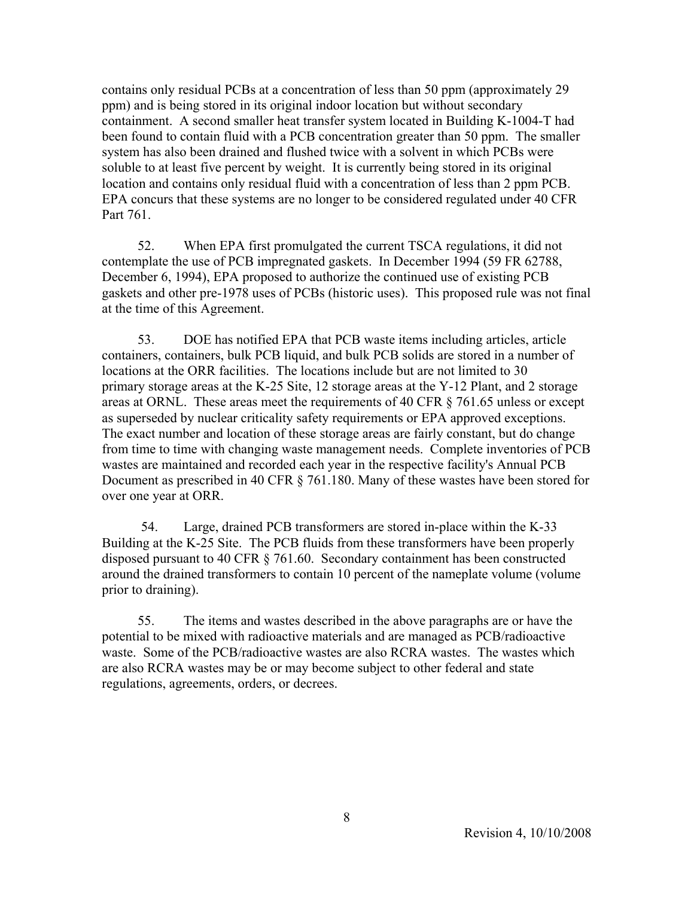contains only residual PCBs at a concentration of less than 50 ppm (approximately 29 ppm) and is being stored in its original indoor location but without secondary containment. A second smaller heat transfer system located in Building K-1004-T had been found to contain fluid with a PCB concentration greater than 50 ppm. The smaller system has also been drained and flushed twice with a solvent in which PCBs were soluble to at least five percent by weight. It is currently being stored in its original location and contains only residual fluid with a concentration of less than 2 ppm PCB. EPA concurs that these systems are no longer to be considered regulated under 40 CFR Part 761.

 52. When EPA first promulgated the current TSCA regulations, it did not contemplate the use of PCB impregnated gaskets. In December 1994 (59 FR 62788, December 6, 1994), EPA proposed to authorize the continued use of existing PCB gaskets and other pre-1978 uses of PCBs (historic uses). This proposed rule was not final at the time of this Agreement.

 53. DOE has notified EPA that PCB waste items including articles, article containers, containers, bulk PCB liquid, and bulk PCB solids are stored in a number of locations at the ORR facilities. The locations include but are not limited to 30 primary storage areas at the K-25 Site, 12 storage areas at the Y-12 Plant, and 2 storage areas at ORNL. These areas meet the requirements of 40 CFR § 761.65 unless or except as superseded by nuclear criticality safety requirements or EPA approved exceptions. The exact number and location of these storage areas are fairly constant, but do change from time to time with changing waste management needs. Complete inventories of PCB wastes are maintained and recorded each year in the respective facility's Annual PCB Document as prescribed in 40 CFR § 761.180. Many of these wastes have been stored for over one year at ORR.

 54. Large, drained PCB transformers are stored in-place within the K-33 Building at the K-25 Site. The PCB fluids from these transformers have been properly disposed pursuant to 40 CFR § 761.60. Secondary containment has been constructed around the drained transformers to contain 10 percent of the nameplate volume (volume prior to draining).

 55. The items and wastes described in the above paragraphs are or have the potential to be mixed with radioactive materials and are managed as PCB/radioactive waste. Some of the PCB/radioactive wastes are also RCRA wastes. The wastes which are also RCRA wastes may be or may become subject to other federal and state regulations, agreements, orders, or decrees.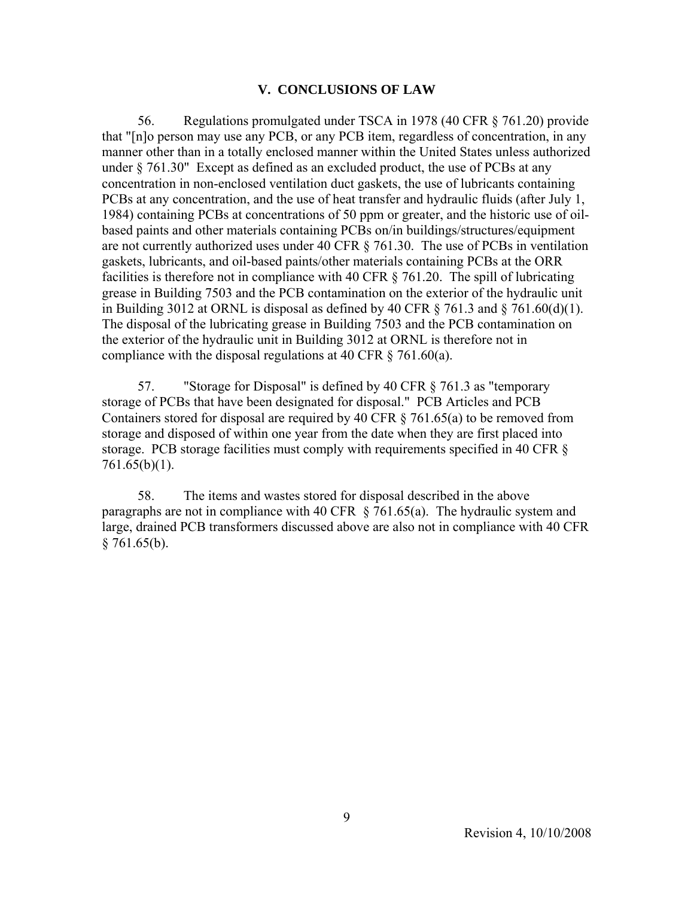#### **V. CONCLUSIONS OF LAW**

 56. Regulations promulgated under TSCA in 1978 (40 CFR § 761.20) provide that "[n]o person may use any PCB, or any PCB item, regardless of concentration, in any manner other than in a totally enclosed manner within the United States unless authorized under § 761.30" Except as defined as an excluded product, the use of PCBs at any concentration in non-enclosed ventilation duct gaskets, the use of lubricants containing PCBs at any concentration, and the use of heat transfer and hydraulic fluids (after July 1, 1984) containing PCBs at concentrations of 50 ppm or greater, and the historic use of oilbased paints and other materials containing PCBs on/in buildings/structures/equipment are not currently authorized uses under 40 CFR § 761.30. The use of PCBs in ventilation gaskets, lubricants, and oil-based paints/other materials containing PCBs at the ORR facilities is therefore not in compliance with 40 CFR § 761.20. The spill of lubricating grease in Building 7503 and the PCB contamination on the exterior of the hydraulic unit in Building 3012 at ORNL is disposal as defined by 40 CFR  $\S$  761.3 and  $\S$  761.60(d)(1). The disposal of the lubricating grease in Building 7503 and the PCB contamination on the exterior of the hydraulic unit in Building 3012 at ORNL is therefore not in compliance with the disposal regulations at 40 CFR § 761.60(a).

 57. "Storage for Disposal" is defined by 40 CFR § 761.3 as "temporary storage of PCBs that have been designated for disposal." PCB Articles and PCB Containers stored for disposal are required by 40 CFR  $\S$  761.65(a) to be removed from storage and disposed of within one year from the date when they are first placed into storage. PCB storage facilities must comply with requirements specified in 40 CFR § 761.65(b)(1).

 58. The items and wastes stored for disposal described in the above paragraphs are not in compliance with 40 CFR  $\S$  761.65(a). The hydraulic system and large, drained PCB transformers discussed above are also not in compliance with 40 CFR  $§ 761.65(b).$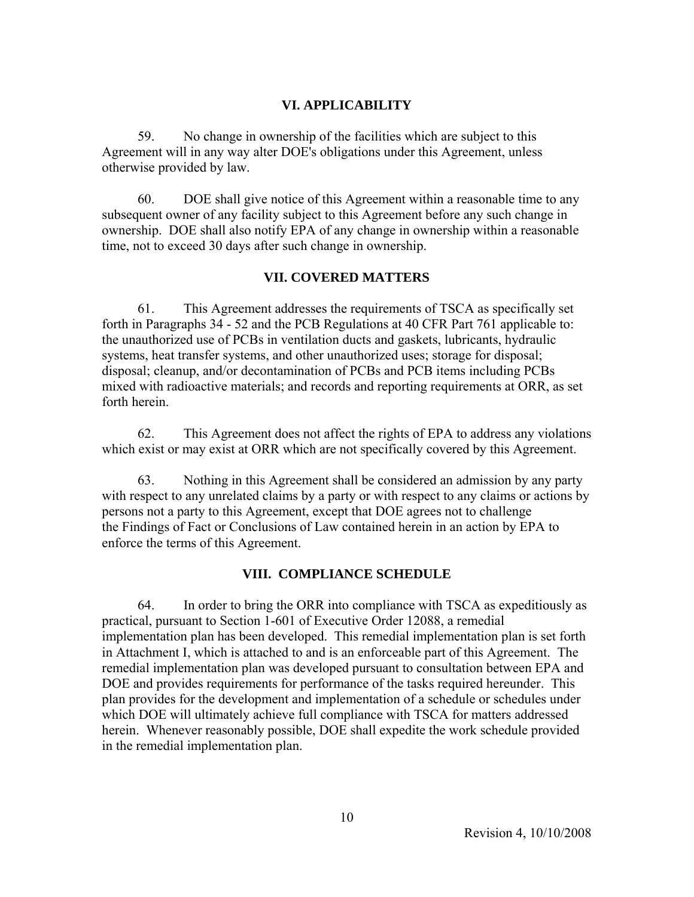#### **VI. APPLICABILITY**

 59. No change in ownership of the facilities which are subject to this Agreement will in any way alter DOE's obligations under this Agreement, unless otherwise provided by law.

 60. DOE shall give notice of this Agreement within a reasonable time to any subsequent owner of any facility subject to this Agreement before any such change in ownership. DOE shall also notify EPA of any change in ownership within a reasonable time, not to exceed 30 days after such change in ownership.

#### **VII. COVERED MATTERS**

 61. This Agreement addresses the requirements of TSCA as specifically set forth in Paragraphs 34 - 52 and the PCB Regulations at 40 CFR Part 761 applicable to: the unauthorized use of PCBs in ventilation ducts and gaskets, lubricants, hydraulic systems, heat transfer systems, and other unauthorized uses; storage for disposal; disposal; cleanup, and/or decontamination of PCBs and PCB items including PCBs mixed with radioactive materials; and records and reporting requirements at ORR, as set forth herein.

 62. This Agreement does not affect the rights of EPA to address any violations which exist or may exist at ORR which are not specifically covered by this Agreement.

 63. Nothing in this Agreement shall be considered an admission by any party with respect to any unrelated claims by a party or with respect to any claims or actions by persons not a party to this Agreement, except that DOE agrees not to challenge the Findings of Fact or Conclusions of Law contained herein in an action by EPA to enforce the terms of this Agreement.

### **VIII. COMPLIANCE SCHEDULE**

 64. In order to bring the ORR into compliance with TSCA as expeditiously as practical, pursuant to Section 1-601 of Executive Order 12088, a remedial implementation plan has been developed. This remedial implementation plan is set forth in Attachment I, which is attached to and is an enforceable part of this Agreement. The remedial implementation plan was developed pursuant to consultation between EPA and DOE and provides requirements for performance of the tasks required hereunder. This plan provides for the development and implementation of a schedule or schedules under which DOE will ultimately achieve full compliance with TSCA for matters addressed herein. Whenever reasonably possible, DOE shall expedite the work schedule provided in the remedial implementation plan.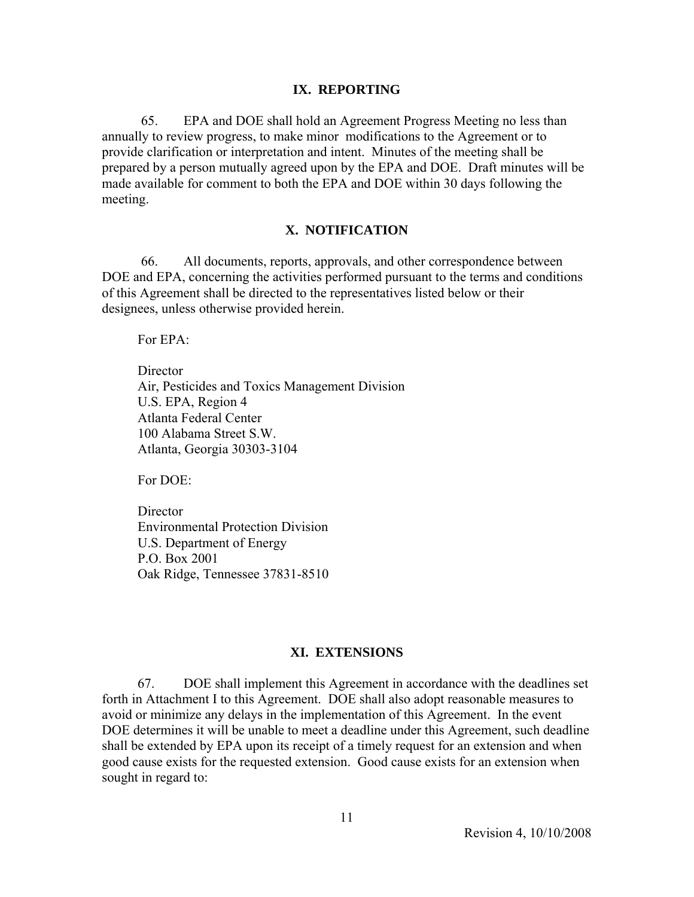#### **IX. REPORTING**

 65. EPA and DOE shall hold an Agreement Progress Meeting no less than annually to review progress, to make minor modifications to the Agreement or to provide clarification or interpretation and intent. Minutes of the meeting shall be prepared by a person mutually agreed upon by the EPA and DOE. Draft minutes will be made available for comment to both the EPA and DOE within 30 days following the meeting.

#### **X. NOTIFICATION**

 66. All documents, reports, approvals, and other correspondence between DOE and EPA, concerning the activities performed pursuant to the terms and conditions of this Agreement shall be directed to the representatives listed below or their designees, unless otherwise provided herein.

For EPA:

**Director**  Air, Pesticides and Toxics Management Division U.S. EPA, Region 4 Atlanta Federal Center 100 Alabama Street S.W. Atlanta, Georgia 30303-3104

For DOE:

**Director** Environmental Protection Division U.S. Department of Energy P.O. Box 2001 Oak Ridge, Tennessee 37831-8510

#### **XI. EXTENSIONS**

 67. DOE shall implement this Agreement in accordance with the deadlines set forth in Attachment I to this Agreement. DOE shall also adopt reasonable measures to avoid or minimize any delays in the implementation of this Agreement. In the event DOE determines it will be unable to meet a deadline under this Agreement, such deadline shall be extended by EPA upon its receipt of a timely request for an extension and when good cause exists for the requested extension. Good cause exists for an extension when sought in regard to: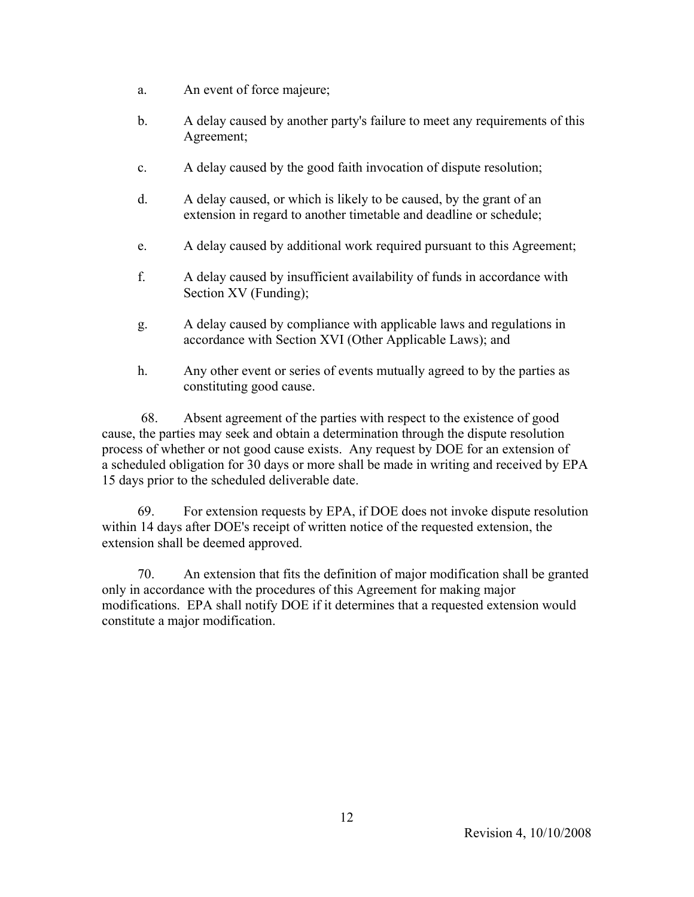- a. An event of force majeure;
- b. A delay caused by another party's failure to meet any requirements of this Agreement;
- c. A delay caused by the good faith invocation of dispute resolution;
- d. A delay caused, or which is likely to be caused, by the grant of an extension in regard to another timetable and deadline or schedule;
- e. A delay caused by additional work required pursuant to this Agreement;
- f. A delay caused by insufficient availability of funds in accordance with Section XV (Funding);
- g. A delay caused by compliance with applicable laws and regulations in accordance with Section XVI (Other Applicable Laws); and
- h. Any other event or series of events mutually agreed to by the parties as constituting good cause.

 68. Absent agreement of the parties with respect to the existence of good cause, the parties may seek and obtain a determination through the dispute resolution process of whether or not good cause exists. Any request by DOE for an extension of a scheduled obligation for 30 days or more shall be made in writing and received by EPA 15 days prior to the scheduled deliverable date.

 69. For extension requests by EPA, if DOE does not invoke dispute resolution within 14 days after DOE's receipt of written notice of the requested extension, the extension shall be deemed approved.

 70. An extension that fits the definition of major modification shall be granted only in accordance with the procedures of this Agreement for making major modifications. EPA shall notify DOE if it determines that a requested extension would constitute a major modification.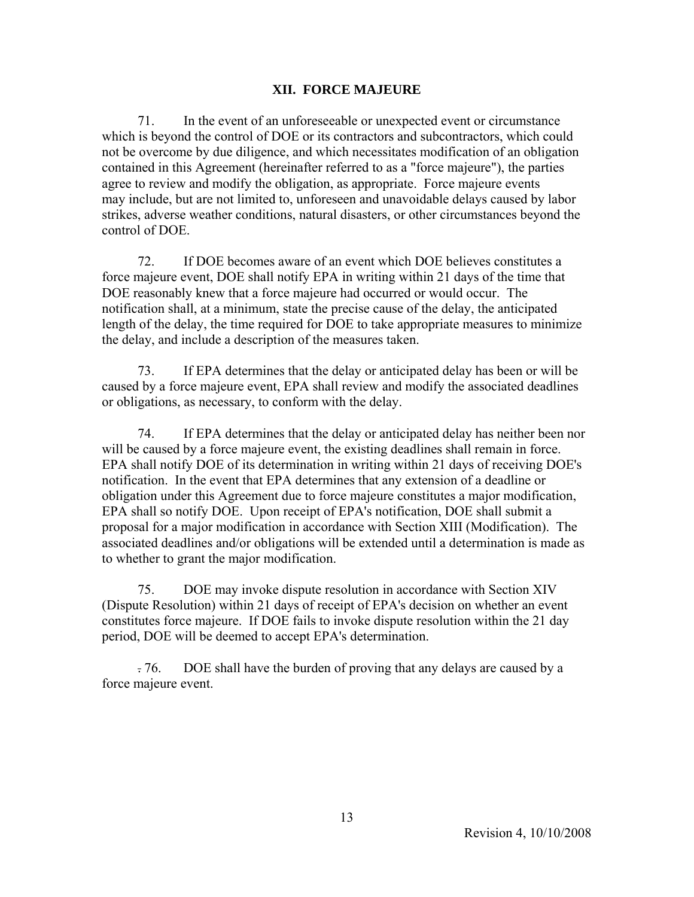### **XII. FORCE MAJEURE**

 71. In the event of an unforeseeable or unexpected event or circumstance which is beyond the control of DOE or its contractors and subcontractors, which could not be overcome by due diligence, and which necessitates modification of an obligation contained in this Agreement (hereinafter referred to as a "force majeure"), the parties agree to review and modify the obligation, as appropriate. Force majeure events may include, but are not limited to, unforeseen and unavoidable delays caused by labor strikes, adverse weather conditions, natural disasters, or other circumstances beyond the control of DOE.

 72. If DOE becomes aware of an event which DOE believes constitutes a force majeure event, DOE shall notify EPA in writing within 21 days of the time that DOE reasonably knew that a force majeure had occurred or would occur. The notification shall, at a minimum, state the precise cause of the delay, the anticipated length of the delay, the time required for DOE to take appropriate measures to minimize the delay, and include a description of the measures taken.

 73. If EPA determines that the delay or anticipated delay has been or will be caused by a force majeure event, EPA shall review and modify the associated deadlines or obligations, as necessary, to conform with the delay.

 74. If EPA determines that the delay or anticipated delay has neither been nor will be caused by a force majeure event, the existing deadlines shall remain in force. EPA shall notify DOE of its determination in writing within 21 days of receiving DOE's notification. In the event that EPA determines that any extension of a deadline or obligation under this Agreement due to force majeure constitutes a major modification, EPA shall so notify DOE. Upon receipt of EPA's notification, DOE shall submit a proposal for a major modification in accordance with Section XIII (Modification). The associated deadlines and/or obligations will be extended until a determination is made as to whether to grant the major modification.

 75. DOE may invoke dispute resolution in accordance with Section XIV (Dispute Resolution) within 21 days of receipt of EPA's decision on whether an event constitutes force majeure. If DOE fails to invoke dispute resolution within the 21 day period, DOE will be deemed to accept EPA's determination.

 . 76. DOE shall have the burden of proving that any delays are caused by a force majeure event.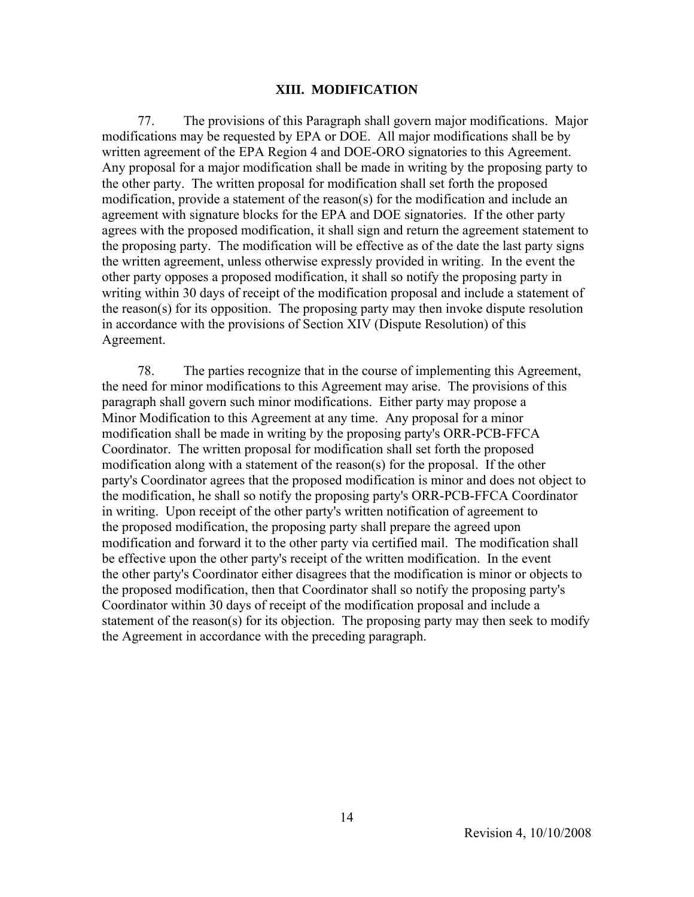#### **XIII. MODIFICATION**

 77. The provisions of this Paragraph shall govern major modifications. Major modifications may be requested by EPA or DOE. All major modifications shall be by written agreement of the EPA Region 4 and DOE-ORO signatories to this Agreement. Any proposal for a major modification shall be made in writing by the proposing party to the other party. The written proposal for modification shall set forth the proposed modification, provide a statement of the reason(s) for the modification and include an agreement with signature blocks for the EPA and DOE signatories. If the other party agrees with the proposed modification, it shall sign and return the agreement statement to the proposing party. The modification will be effective as of the date the last party signs the written agreement, unless otherwise expressly provided in writing. In the event the other party opposes a proposed modification, it shall so notify the proposing party in writing within 30 days of receipt of the modification proposal and include a statement of the reason(s) for its opposition. The proposing party may then invoke dispute resolution in accordance with the provisions of Section XIV (Dispute Resolution) of this Agreement.

 78. The parties recognize that in the course of implementing this Agreement, the need for minor modifications to this Agreement may arise. The provisions of this paragraph shall govern such minor modifications. Either party may propose a Minor Modification to this Agreement at any time. Any proposal for a minor modification shall be made in writing by the proposing party's ORR-PCB-FFCA Coordinator. The written proposal for modification shall set forth the proposed modification along with a statement of the reason(s) for the proposal. If the other party's Coordinator agrees that the proposed modification is minor and does not object to the modification, he shall so notify the proposing party's ORR-PCB-FFCA Coordinator in writing. Upon receipt of the other party's written notification of agreement to the proposed modification, the proposing party shall prepare the agreed upon modification and forward it to the other party via certified mail. The modification shall be effective upon the other party's receipt of the written modification. In the event the other party's Coordinator either disagrees that the modification is minor or objects to the proposed modification, then that Coordinator shall so notify the proposing party's Coordinator within 30 days of receipt of the modification proposal and include a statement of the reason(s) for its objection. The proposing party may then seek to modify the Agreement in accordance with the preceding paragraph.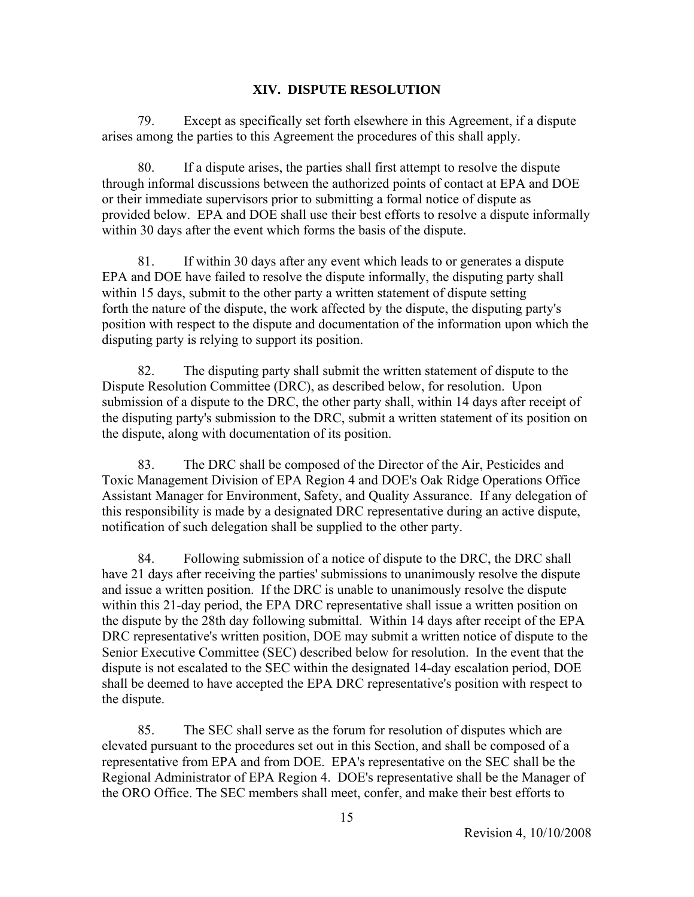#### **XIV. DISPUTE RESOLUTION**

 79. Except as specifically set forth elsewhere in this Agreement, if a dispute arises among the parties to this Agreement the procedures of this shall apply.

 80. If a dispute arises, the parties shall first attempt to resolve the dispute through informal discussions between the authorized points of contact at EPA and DOE or their immediate supervisors prior to submitting a formal notice of dispute as provided below. EPA and DOE shall use their best efforts to resolve a dispute informally within 30 days after the event which forms the basis of the dispute.

 81. If within 30 days after any event which leads to or generates a dispute EPA and DOE have failed to resolve the dispute informally, the disputing party shall within 15 days, submit to the other party a written statement of dispute setting forth the nature of the dispute, the work affected by the dispute, the disputing party's position with respect to the dispute and documentation of the information upon which the disputing party is relying to support its position.

 82. The disputing party shall submit the written statement of dispute to the Dispute Resolution Committee (DRC), as described below, for resolution. Upon submission of a dispute to the DRC, the other party shall, within 14 days after receipt of the disputing party's submission to the DRC, submit a written statement of its position on the dispute, along with documentation of its position.

 83. The DRC shall be composed of the Director of the Air, Pesticides and Toxic Management Division of EPA Region 4 and DOE's Oak Ridge Operations Office Assistant Manager for Environment, Safety, and Quality Assurance. If any delegation of this responsibility is made by a designated DRC representative during an active dispute, notification of such delegation shall be supplied to the other party.

 84. Following submission of a notice of dispute to the DRC, the DRC shall have 21 days after receiving the parties' submissions to unanimously resolve the dispute and issue a written position. If the DRC is unable to unanimously resolve the dispute within this 21-day period, the EPA DRC representative shall issue a written position on the dispute by the 28th day following submittal. Within 14 days after receipt of the EPA DRC representative's written position, DOE may submit a written notice of dispute to the Senior Executive Committee (SEC) described below for resolution. In the event that the dispute is not escalated to the SEC within the designated 14-day escalation period, DOE shall be deemed to have accepted the EPA DRC representative's position with respect to the dispute.

 85. The SEC shall serve as the forum for resolution of disputes which are elevated pursuant to the procedures set out in this Section, and shall be composed of a representative from EPA and from DOE. EPA's representative on the SEC shall be the Regional Administrator of EPA Region 4. DOE's representative shall be the Manager of the ORO Office. The SEC members shall meet, confer, and make their best efforts to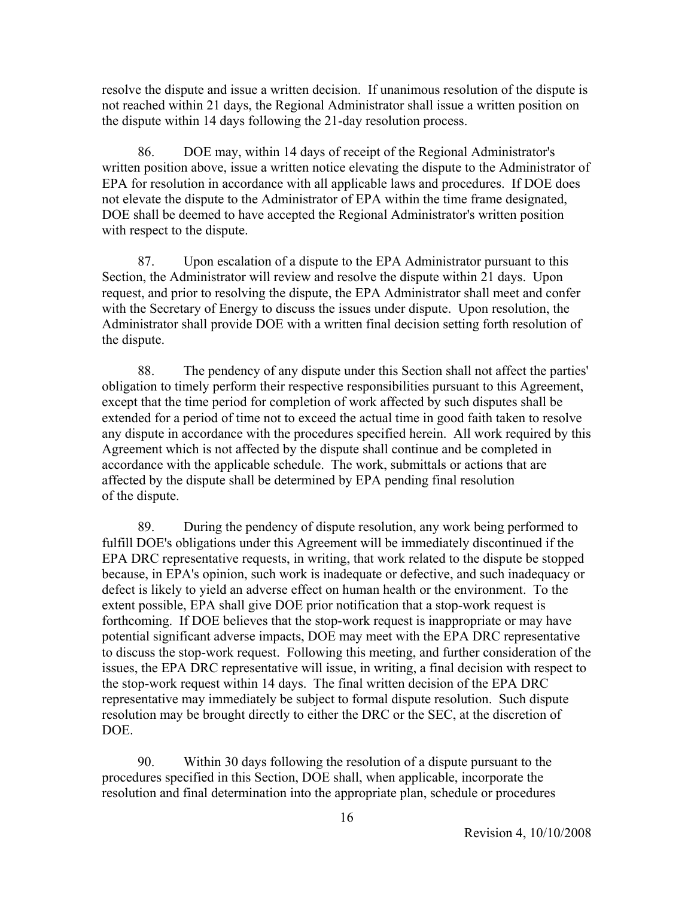resolve the dispute and issue a written decision. If unanimous resolution of the dispute is not reached within 21 days, the Regional Administrator shall issue a written position on the dispute within 14 days following the 21-day resolution process.

 86. DOE may, within 14 days of receipt of the Regional Administrator's written position above, issue a written notice elevating the dispute to the Administrator of EPA for resolution in accordance with all applicable laws and procedures. If DOE does not elevate the dispute to the Administrator of EPA within the time frame designated, DOE shall be deemed to have accepted the Regional Administrator's written position with respect to the dispute.

 87. Upon escalation of a dispute to the EPA Administrator pursuant to this Section, the Administrator will review and resolve the dispute within 21 days. Upon request, and prior to resolving the dispute, the EPA Administrator shall meet and confer with the Secretary of Energy to discuss the issues under dispute. Upon resolution, the Administrator shall provide DOE with a written final decision setting forth resolution of the dispute.

 88. The pendency of any dispute under this Section shall not affect the parties' obligation to timely perform their respective responsibilities pursuant to this Agreement, except that the time period for completion of work affected by such disputes shall be extended for a period of time not to exceed the actual time in good faith taken to resolve any dispute in accordance with the procedures specified herein. All work required by this Agreement which is not affected by the dispute shall continue and be completed in accordance with the applicable schedule. The work, submittals or actions that are affected by the dispute shall be determined by EPA pending final resolution of the dispute.

 89. During the pendency of dispute resolution, any work being performed to fulfill DOE's obligations under this Agreement will be immediately discontinued if the EPA DRC representative requests, in writing, that work related to the dispute be stopped because, in EPA's opinion, such work is inadequate or defective, and such inadequacy or defect is likely to yield an adverse effect on human health or the environment. To the extent possible, EPA shall give DOE prior notification that a stop-work request is forthcoming. If DOE believes that the stop-work request is inappropriate or may have potential significant adverse impacts, DOE may meet with the EPA DRC representative to discuss the stop-work request. Following this meeting, and further consideration of the issues, the EPA DRC representative will issue, in writing, a final decision with respect to the stop-work request within 14 days. The final written decision of the EPA DRC representative may immediately be subject to formal dispute resolution. Such dispute resolution may be brought directly to either the DRC or the SEC, at the discretion of DOE.

 90. Within 30 days following the resolution of a dispute pursuant to the procedures specified in this Section, DOE shall, when applicable, incorporate the resolution and final determination into the appropriate plan, schedule or procedures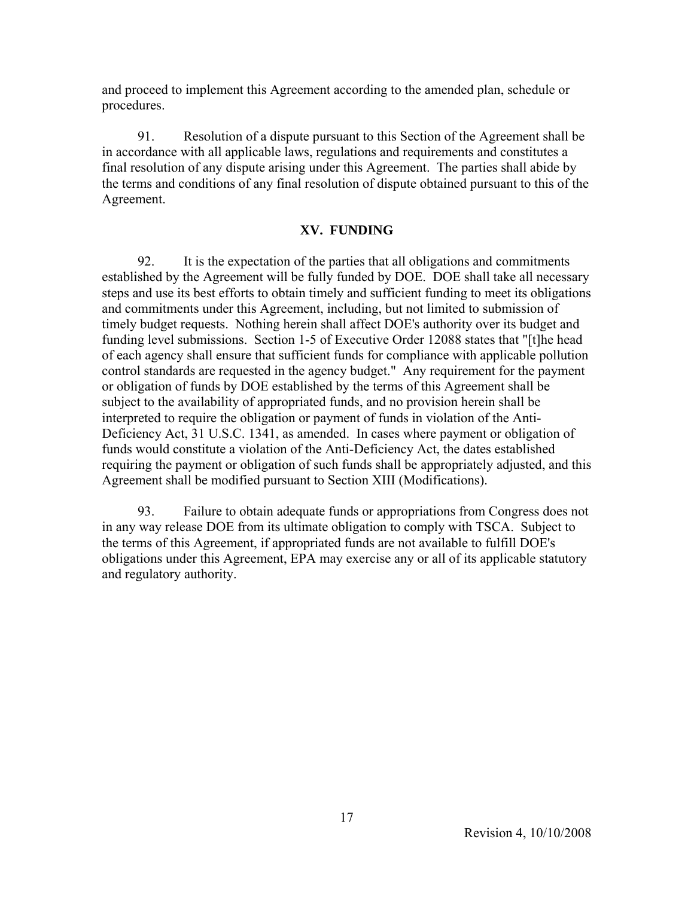and proceed to implement this Agreement according to the amended plan, schedule or procedures.

 91. Resolution of a dispute pursuant to this Section of the Agreement shall be in accordance with all applicable laws, regulations and requirements and constitutes a final resolution of any dispute arising under this Agreement. The parties shall abide by the terms and conditions of any final resolution of dispute obtained pursuant to this of the Agreement.

### **XV. FUNDING**

 92. It is the expectation of the parties that all obligations and commitments established by the Agreement will be fully funded by DOE. DOE shall take all necessary steps and use its best efforts to obtain timely and sufficient funding to meet its obligations and commitments under this Agreement, including, but not limited to submission of timely budget requests. Nothing herein shall affect DOE's authority over its budget and funding level submissions. Section 1-5 of Executive Order 12088 states that "[t]he head of each agency shall ensure that sufficient funds for compliance with applicable pollution control standards are requested in the agency budget." Any requirement for the payment or obligation of funds by DOE established by the terms of this Agreement shall be subject to the availability of appropriated funds, and no provision herein shall be interpreted to require the obligation or payment of funds in violation of the Anti-Deficiency Act, 31 U.S.C. 1341, as amended. In cases where payment or obligation of funds would constitute a violation of the Anti-Deficiency Act, the dates established requiring the payment or obligation of such funds shall be appropriately adjusted, and this Agreement shall be modified pursuant to Section XIII (Modifications).

 93. Failure to obtain adequate funds or appropriations from Congress does not in any way release DOE from its ultimate obligation to comply with TSCA. Subject to the terms of this Agreement, if appropriated funds are not available to fulfill DOE's obligations under this Agreement, EPA may exercise any or all of its applicable statutory and regulatory authority.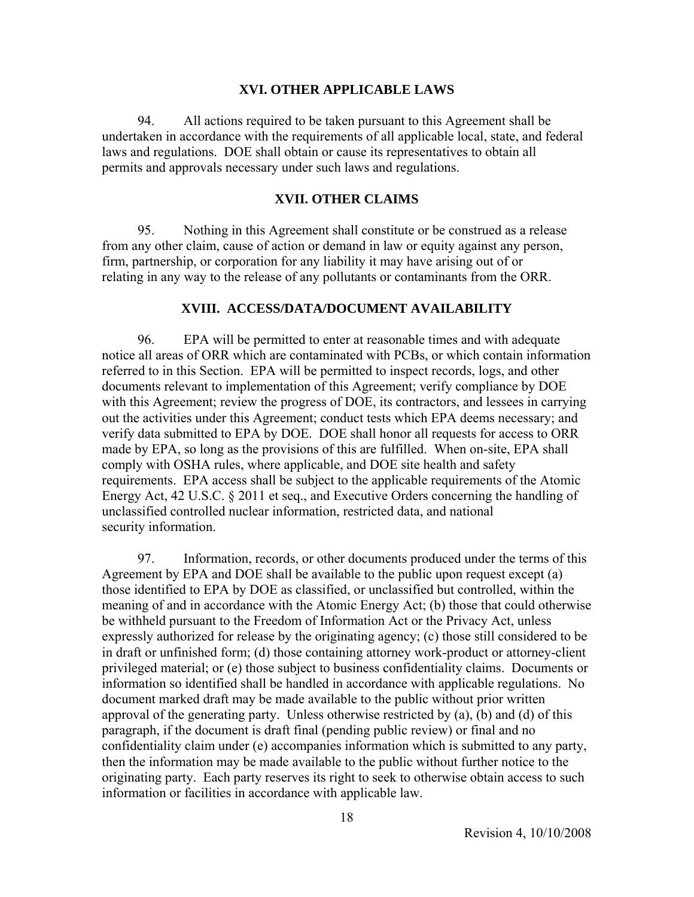#### **XVI. OTHER APPLICABLE LAWS**

 94. All actions required to be taken pursuant to this Agreement shall be undertaken in accordance with the requirements of all applicable local, state, and federal laws and regulations. DOE shall obtain or cause its representatives to obtain all permits and approvals necessary under such laws and regulations.

#### **XVII. OTHER CLAIMS**

 95. Nothing in this Agreement shall constitute or be construed as a release from any other claim, cause of action or demand in law or equity against any person, firm, partnership, or corporation for any liability it may have arising out of or relating in any way to the release of any pollutants or contaminants from the ORR.

### **XVIII. ACCESS/DATA/DOCUMENT AVAILABILITY**

 96. EPA will be permitted to enter at reasonable times and with adequate notice all areas of ORR which are contaminated with PCBs, or which contain information referred to in this Section. EPA will be permitted to inspect records, logs, and other documents relevant to implementation of this Agreement; verify compliance by DOE with this Agreement; review the progress of DOE, its contractors, and lessees in carrying out the activities under this Agreement; conduct tests which EPA deems necessary; and verify data submitted to EPA by DOE. DOE shall honor all requests for access to ORR made by EPA, so long as the provisions of this are fulfilled. When on-site, EPA shall comply with OSHA rules, where applicable, and DOE site health and safety requirements. EPA access shall be subject to the applicable requirements of the Atomic Energy Act, 42 U.S.C. § 2011 et seq., and Executive Orders concerning the handling of unclassified controlled nuclear information, restricted data, and national security information.

 97. Information, records, or other documents produced under the terms of this Agreement by EPA and DOE shall be available to the public upon request except (a) those identified to EPA by DOE as classified, or unclassified but controlled, within the meaning of and in accordance with the Atomic Energy Act; (b) those that could otherwise be withheld pursuant to the Freedom of Information Act or the Privacy Act, unless expressly authorized for release by the originating agency; (c) those still considered to be in draft or unfinished form; (d) those containing attorney work-product or attorney-client privileged material; or (e) those subject to business confidentiality claims. Documents or information so identified shall be handled in accordance with applicable regulations. No document marked draft may be made available to the public without prior written approval of the generating party. Unless otherwise restricted by (a), (b) and (d) of this paragraph, if the document is draft final (pending public review) or final and no confidentiality claim under (e) accompanies information which is submitted to any party, then the information may be made available to the public without further notice to the originating party. Each party reserves its right to seek to otherwise obtain access to such information or facilities in accordance with applicable law.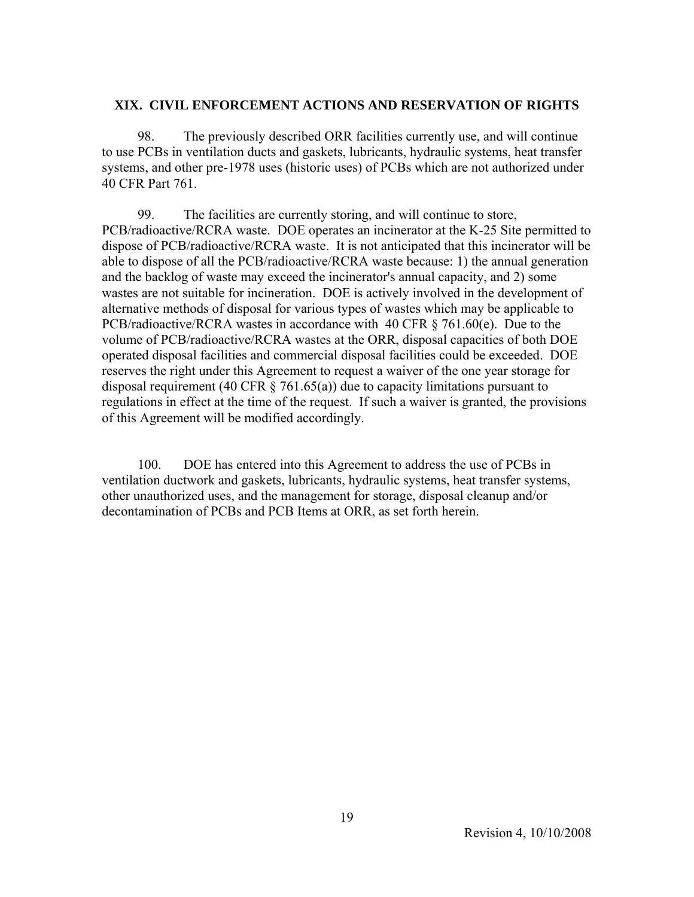### **XIX. CIVIL ENFORCEMENT ACTIONS AND RESERVATION OF RIGHTS**

 98. The previously described ORR facilities currently use, and will continue to use PCBs in ventilation ducts and gaskets, lubricants, hydraulic systems, heat transfer systems, and other pre-1978 uses (historic uses) of PCBs which are not authorized under 40 CFR Part 761.

 99. The facilities are currently storing, and will continue to store, PCB/radioactive/RCRA waste. DOE operates an incinerator at the K-25 Site permitted to dispose of PCB/radioactive/RCRA waste. It is not anticipated that this incinerator will be able to dispose of all the PCB/radioactive/RCRA waste because: 1) the annual generation and the backlog of waste may exceed the incinerator's annual capacity, and 2) some wastes are not suitable for incineration. DOE is actively involved in the development of alternative methods of disposal for various types of wastes which may be applicable to PCB/radioactive/RCRA wastes in accordance with 40 CFR § 761.60(e). Due to the volume of PCB/radioactive/RCRA wastes at the ORR, disposal capacities of both DOE operated disposal facilities and commercial disposal facilities could be exceeded. DOE reserves the right under this Agreement to request a waiver of the one year storage for disposal requirement (40 CFR  $\S$  761.65(a)) due to capacity limitations pursuant to regulations in effect at the time of the request. If such a waiver is granted, the provisions of this Agreement will be modified accordingly.

 100. DOE has entered into this Agreement to address the use of PCBs in ventilation ductwork and gaskets, lubricants, hydraulic systems, heat transfer systems, other unauthorized uses, and the management for storage, disposal cleanup and/or decontamination of PCBs and PCB Items at ORR, as set forth herein.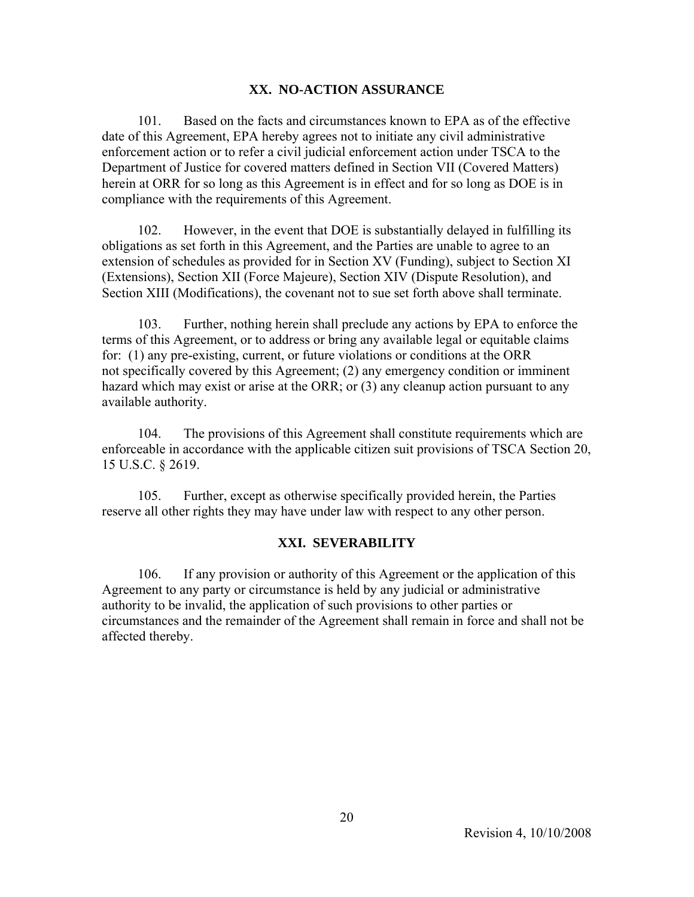#### **XX. NO-ACTION ASSURANCE**

 101. Based on the facts and circumstances known to EPA as of the effective date of this Agreement, EPA hereby agrees not to initiate any civil administrative enforcement action or to refer a civil judicial enforcement action under TSCA to the Department of Justice for covered matters defined in Section VII (Covered Matters) herein at ORR for so long as this Agreement is in effect and for so long as DOE is in compliance with the requirements of this Agreement.

 102. However, in the event that DOE is substantially delayed in fulfilling its obligations as set forth in this Agreement, and the Parties are unable to agree to an extension of schedules as provided for in Section XV (Funding), subject to Section XI (Extensions), Section XII (Force Majeure), Section XIV (Dispute Resolution), and Section XIII (Modifications), the covenant not to sue set forth above shall terminate.

 103. Further, nothing herein shall preclude any actions by EPA to enforce the terms of this Agreement, or to address or bring any available legal or equitable claims for: (1) any pre-existing, current, or future violations or conditions at the ORR not specifically covered by this Agreement; (2) any emergency condition or imminent hazard which may exist or arise at the ORR; or (3) any cleanup action pursuant to any available authority.

 104. The provisions of this Agreement shall constitute requirements which are enforceable in accordance with the applicable citizen suit provisions of TSCA Section 20, 15 U.S.C. § 2619.

 105. Further, except as otherwise specifically provided herein, the Parties reserve all other rights they may have under law with respect to any other person.

### **XXI. SEVERABILITY**

 106. If any provision or authority of this Agreement or the application of this Agreement to any party or circumstance is held by any judicial or administrative authority to be invalid, the application of such provisions to other parties or circumstances and the remainder of the Agreement shall remain in force and shall not be affected thereby.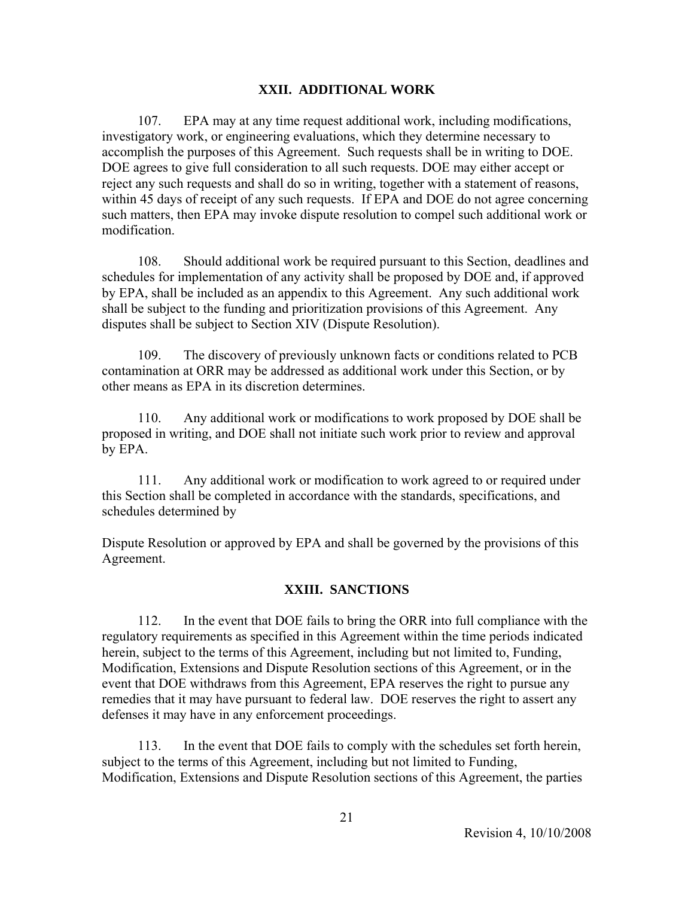#### **XXII. ADDITIONAL WORK**

 107. EPA may at any time request additional work, including modifications, investigatory work, or engineering evaluations, which they determine necessary to accomplish the purposes of this Agreement. Such requests shall be in writing to DOE. DOE agrees to give full consideration to all such requests. DOE may either accept or reject any such requests and shall do so in writing, together with a statement of reasons, within 45 days of receipt of any such requests. If EPA and DOE do not agree concerning such matters, then EPA may invoke dispute resolution to compel such additional work or modification.

 108. Should additional work be required pursuant to this Section, deadlines and schedules for implementation of any activity shall be proposed by DOE and, if approved by EPA, shall be included as an appendix to this Agreement. Any such additional work shall be subject to the funding and prioritization provisions of this Agreement. Any disputes shall be subject to Section XIV (Dispute Resolution).

 109. The discovery of previously unknown facts or conditions related to PCB contamination at ORR may be addressed as additional work under this Section, or by other means as EPA in its discretion determines.

 110. Any additional work or modifications to work proposed by DOE shall be proposed in writing, and DOE shall not initiate such work prior to review and approval by EPA.

 111. Any additional work or modification to work agreed to or required under this Section shall be completed in accordance with the standards, specifications, and schedules determined by

Dispute Resolution or approved by EPA and shall be governed by the provisions of this Agreement.

### **XXIII. SANCTIONS**

 112. In the event that DOE fails to bring the ORR into full compliance with the regulatory requirements as specified in this Agreement within the time periods indicated herein, subject to the terms of this Agreement, including but not limited to, Funding, Modification, Extensions and Dispute Resolution sections of this Agreement, or in the event that DOE withdraws from this Agreement, EPA reserves the right to pursue any remedies that it may have pursuant to federal law. DOE reserves the right to assert any defenses it may have in any enforcement proceedings.

 113. In the event that DOE fails to comply with the schedules set forth herein, subject to the terms of this Agreement, including but not limited to Funding, Modification, Extensions and Dispute Resolution sections of this Agreement, the parties

Revision 4, 10/10/2008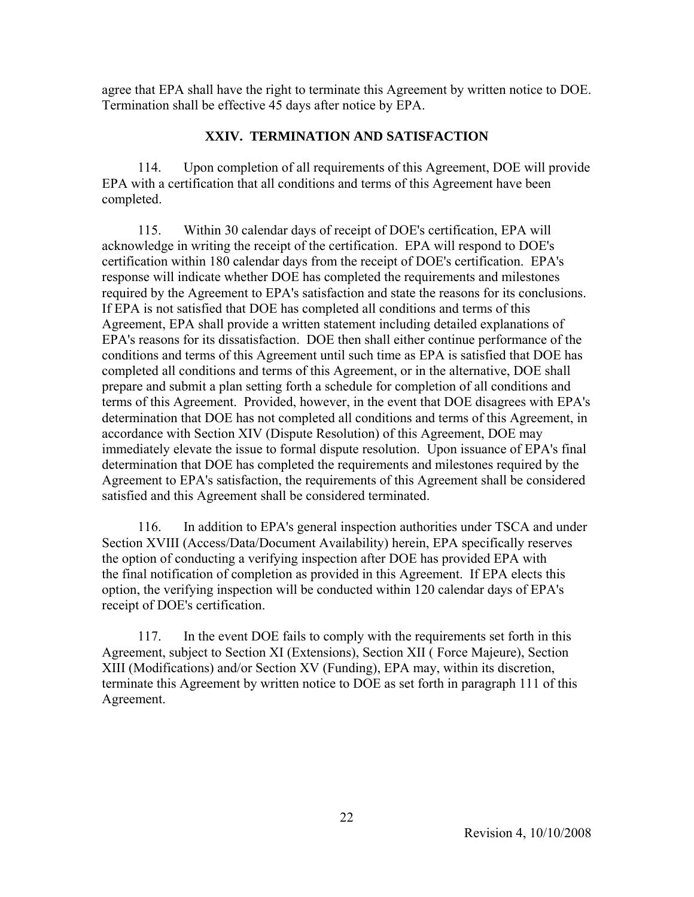agree that EPA shall have the right to terminate this Agreement by written notice to DOE. Termination shall be effective 45 days after notice by EPA.

#### **XXIV. TERMINATION AND SATISFACTION**

 114. Upon completion of all requirements of this Agreement, DOE will provide EPA with a certification that all conditions and terms of this Agreement have been completed.

 115. Within 30 calendar days of receipt of DOE's certification, EPA will acknowledge in writing the receipt of the certification. EPA will respond to DOE's certification within 180 calendar days from the receipt of DOE's certification. EPA's response will indicate whether DOE has completed the requirements and milestones required by the Agreement to EPA's satisfaction and state the reasons for its conclusions. If EPA is not satisfied that DOE has completed all conditions and terms of this Agreement, EPA shall provide a written statement including detailed explanations of EPA's reasons for its dissatisfaction. DOE then shall either continue performance of the conditions and terms of this Agreement until such time as EPA is satisfied that DOE has completed all conditions and terms of this Agreement, or in the alternative, DOE shall prepare and submit a plan setting forth a schedule for completion of all conditions and terms of this Agreement. Provided, however, in the event that DOE disagrees with EPA's determination that DOE has not completed all conditions and terms of this Agreement, in accordance with Section XIV (Dispute Resolution) of this Agreement, DOE may immediately elevate the issue to formal dispute resolution. Upon issuance of EPA's final determination that DOE has completed the requirements and milestones required by the Agreement to EPA's satisfaction, the requirements of this Agreement shall be considered satisfied and this Agreement shall be considered terminated.

 116. In addition to EPA's general inspection authorities under TSCA and under Section XVIII (Access/Data/Document Availability) herein, EPA specifically reserves the option of conducting a verifying inspection after DOE has provided EPA with the final notification of completion as provided in this Agreement. If EPA elects this option, the verifying inspection will be conducted within 120 calendar days of EPA's receipt of DOE's certification.

 117. In the event DOE fails to comply with the requirements set forth in this Agreement, subject to Section XI (Extensions), Section XII ( Force Majeure), Section XIII (Modifications) and/or Section XV (Funding), EPA may, within its discretion, terminate this Agreement by written notice to DOE as set forth in paragraph 111 of this Agreement.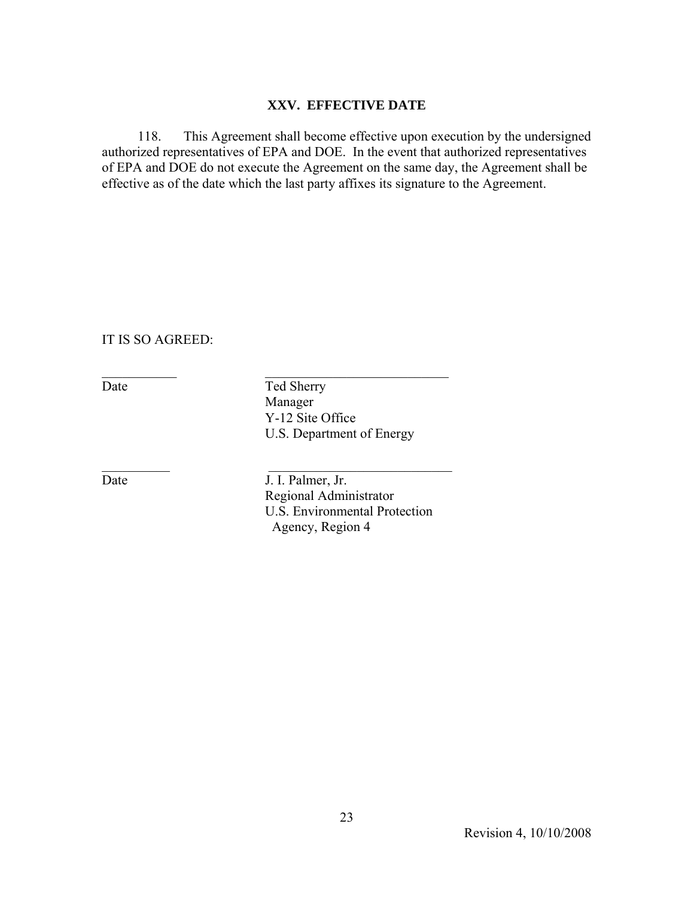### **XXV. EFFECTIVE DATE**

 118. This Agreement shall become effective upon execution by the undersigned authorized representatives of EPA and DOE. In the event that authorized representatives of EPA and DOE do not execute the Agreement on the same day, the Agreement shall be effective as of the date which the last party affixes its signature to the Agreement.

IT IS SO AGREED:

Date Ted Sherry Manager Y-12 Site Office U.S. Department of Energy

\_\_\_\_\_\_\_\_\_\_\_ \_\_\_\_\_\_\_\_\_\_\_\_\_\_\_\_\_\_\_\_\_\_\_\_\_\_\_

 $\mathcal{L}_\text{max}$  and  $\mathcal{L}_\text{max}$  and  $\mathcal{L}_\text{max}$  and  $\mathcal{L}_\text{max}$ 

Date J. I. Palmer, Jr. Regional Administrator U.S. Environmental Protection Agency, Region 4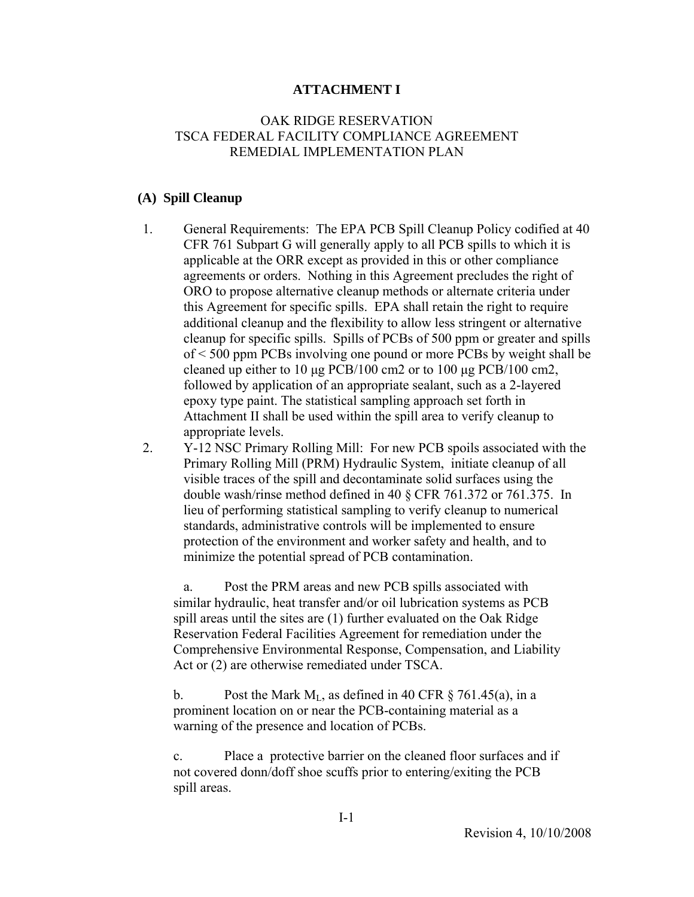#### **ATTACHMENT I**

### OAK RIDGE RESERVATION TSCA FEDERAL FACILITY COMPLIANCE AGREEMENT REMEDIAL IMPLEMENTATION PLAN

#### **(A) Spill Cleanup**

- 1. General Requirements: The EPA PCB Spill Cleanup Policy codified at 40 CFR 761 Subpart G will generally apply to all PCB spills to which it is applicable at the ORR except as provided in this or other compliance agreements or orders. Nothing in this Agreement precludes the right of ORO to propose alternative cleanup methods or alternate criteria under this Agreement for specific spills. EPA shall retain the right to require additional cleanup and the flexibility to allow less stringent or alternative cleanup for specific spills. Spills of PCBs of 500 ppm or greater and spills of < 500 ppm PCBs involving one pound or more PCBs by weight shall be cleaned up either to 10 μg PCB/100 cm2 or to 100 μg PCB/100 cm2, followed by application of an appropriate sealant, such as a 2-layered epoxy type paint. The statistical sampling approach set forth in Attachment II shall be used within the spill area to verify cleanup to appropriate levels.
- 2. Y-12 NSC Primary Rolling Mill: For new PCB spoils associated with the Primary Rolling Mill (PRM) Hydraulic System, initiate cleanup of all visible traces of the spill and decontaminate solid surfaces using the double wash/rinse method defined in 40 § CFR 761.372 or 761.375. In lieu of performing statistical sampling to verify cleanup to numerical standards, administrative controls will be implemented to ensure protection of the environment and worker safety and health, and to minimize the potential spread of PCB contamination.

 a. Post the PRM areas and new PCB spills associated with similar hydraulic, heat transfer and/or oil lubrication systems as PCB spill areas until the sites are (1) further evaluated on the Oak Ridge Reservation Federal Facilities Agreement for remediation under the Comprehensive Environmental Response, Compensation, and Liability Act or (2) are otherwise remediated under TSCA.

b. Post the Mark  $M<sub>L</sub>$ , as defined in 40 CFR § 761.45(a), in a prominent location on or near the PCB-containing material as a warning of the presence and location of PCBs.

 c. Place a protective barrier on the cleaned floor surfaces and if not covered donn/doff shoe scuffs prior to entering/exiting the PCB spill areas.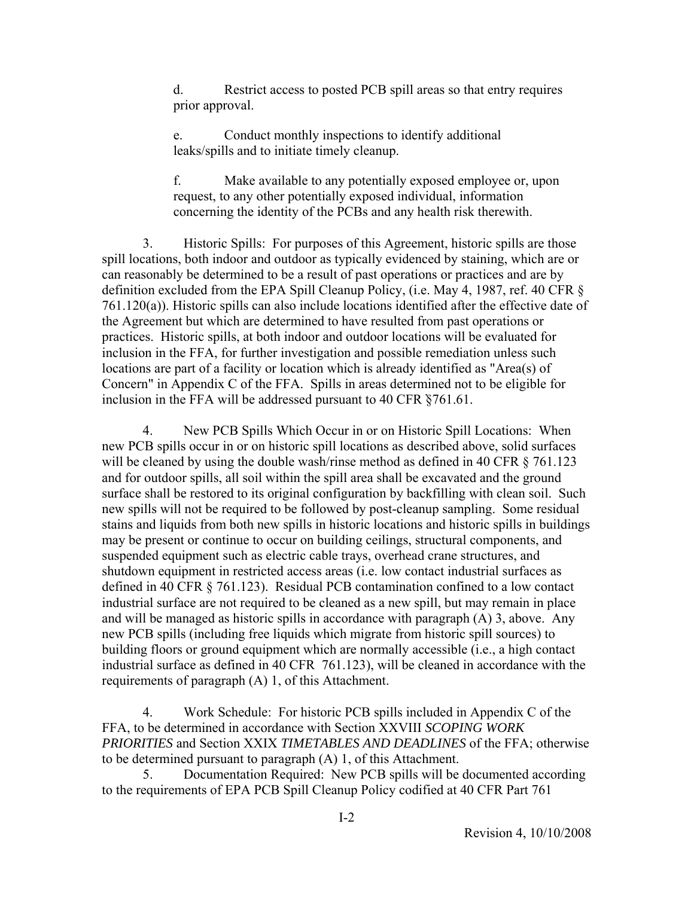d. Restrict access to posted PCB spill areas so that entry requires prior approval.

 e. Conduct monthly inspections to identify additional leaks/spills and to initiate timely cleanup.

 f. Make available to any potentially exposed employee or, upon request, to any other potentially exposed individual, information concerning the identity of the PCBs and any health risk therewith.

 3. Historic Spills: For purposes of this Agreement, historic spills are those spill locations, both indoor and outdoor as typically evidenced by staining, which are or can reasonably be determined to be a result of past operations or practices and are by definition excluded from the EPA Spill Cleanup Policy, (i.e. May 4, 1987, ref. 40 CFR § 761.120(a)). Historic spills can also include locations identified after the effective date of the Agreement but which are determined to have resulted from past operations or practices. Historic spills, at both indoor and outdoor locations will be evaluated for inclusion in the FFA, for further investigation and possible remediation unless such locations are part of a facility or location which is already identified as "Area(s) of Concern" in Appendix C of the FFA. Spills in areas determined not to be eligible for inclusion in the FFA will be addressed pursuant to 40 CFR ̕§761.61.

 4. New PCB Spills Which Occur in or on Historic Spill Locations: When new PCB spills occur in or on historic spill locations as described above, solid surfaces will be cleaned by using the double wash/rinse method as defined in 40 CFR  $\S$  761.123 and for outdoor spills, all soil within the spill area shall be excavated and the ground surface shall be restored to its original configuration by backfilling with clean soil. Such new spills will not be required to be followed by post-cleanup sampling. Some residual stains and liquids from both new spills in historic locations and historic spills in buildings may be present or continue to occur on building ceilings, structural components, and suspended equipment such as electric cable trays, overhead crane structures, and shutdown equipment in restricted access areas (i.e. low contact industrial surfaces as defined in 40 CFR § 761.123). Residual PCB contamination confined to a low contact industrial surface are not required to be cleaned as a new spill, but may remain in place and will be managed as historic spills in accordance with paragraph (A) 3, above. Any new PCB spills (including free liquids which migrate from historic spill sources) to building floors or ground equipment which are normally accessible (i.e., a high contact industrial surface as defined in 40 CFR 761.123), will be cleaned in accordance with the requirements of paragraph (A) 1, of this Attachment.

 4. Work Schedule: For historic PCB spills included in Appendix C of the FFA, to be determined in accordance with Section XXVIII *SCOPING WORK PRIORITIES* and Section XXIX *TIMETABLES AND DEADLINES* of the FFA; otherwise to be determined pursuant to paragraph (A) 1, of this Attachment.

 5. Documentation Required: New PCB spills will be documented according to the requirements of EPA PCB Spill Cleanup Policy codified at 40 CFR Part 761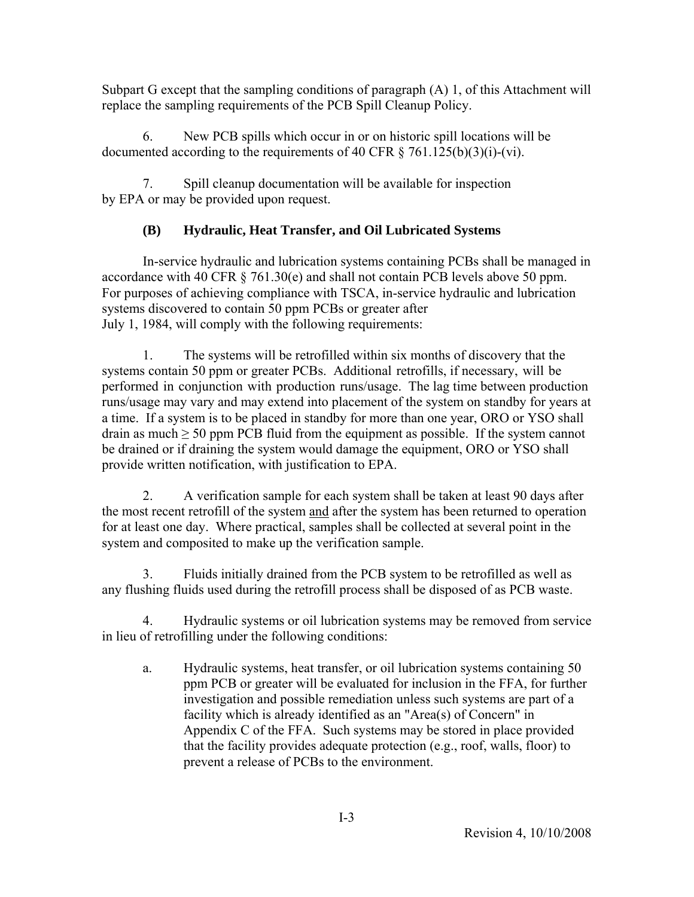Subpart G except that the sampling conditions of paragraph (A) 1, of this Attachment will replace the sampling requirements of the PCB Spill Cleanup Policy.

 6. New PCB spills which occur in or on historic spill locations will be documented according to the requirements of 40 CFR  $\S$  761.125(b)(3)(i)-(vi).

 7. Spill cleanup documentation will be available for inspection by EPA or may be provided upon request.

# **(B) Hydraulic, Heat Transfer, and Oil Lubricated Systems**

 In-service hydraulic and lubrication systems containing PCBs shall be managed in accordance with 40 CFR § 761.30(e) and shall not contain PCB levels above 50 ppm. For purposes of achieving compliance with TSCA, in-service hydraulic and lubrication systems discovered to contain 50 ppm PCBs or greater after July 1, 1984, will comply with the following requirements:

 1. The systems will be retrofilled within six months of discovery that the systems contain 50 ppm or greater PCBs. Additional retrofills, if necessary, will be performed in conjunction with production runs/usage. The lag time between production runs/usage may vary and may extend into placement of the system on standby for years at a time. If a system is to be placed in standby for more than one year, ORO or YSO shall drain as much  $\geq$  50 ppm PCB fluid from the equipment as possible. If the system cannot be drained or if draining the system would damage the equipment, ORO or YSO shall provide written notification, with justification to EPA.

 2. A verification sample for each system shall be taken at least 90 days after the most recent retrofill of the system and after the system has been returned to operation for at least one day. Where practical, samples shall be collected at several point in the system and composited to make up the verification sample.

 3. Fluids initially drained from the PCB system to be retrofilled as well as any flushing fluids used during the retrofill process shall be disposed of as PCB waste.

 4. Hydraulic systems or oil lubrication systems may be removed from service in lieu of retrofilling under the following conditions:

a. Hydraulic systems, heat transfer, or oil lubrication systems containing 50 ppm PCB or greater will be evaluated for inclusion in the FFA, for further investigation and possible remediation unless such systems are part of a facility which is already identified as an "Area(s) of Concern" in Appendix C of the FFA. Such systems may be stored in place provided that the facility provides adequate protection (e.g., roof, walls, floor) to prevent a release of PCBs to the environment.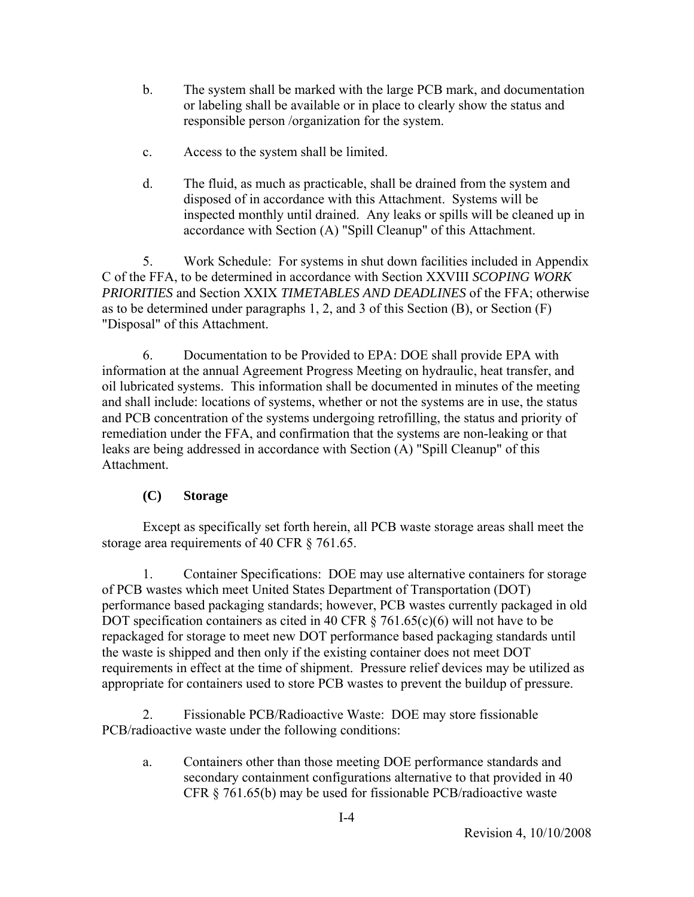- b. The system shall be marked with the large PCB mark, and documentation or labeling shall be available or in place to clearly show the status and responsible person /organization for the system.
- c. Access to the system shall be limited.
- d. The fluid, as much as practicable, shall be drained from the system and disposed of in accordance with this Attachment. Systems will be inspected monthly until drained. Any leaks or spills will be cleaned up in accordance with Section (A) "Spill Cleanup" of this Attachment.

 5. Work Schedule: For systems in shut down facilities included in Appendix C of the FFA, to be determined in accordance with Section XXVIII *SCOPING WORK PRIORITIES* and Section XXIX *TIMETABLES AND DEADLINES* of the FFA; otherwise as to be determined under paragraphs 1, 2, and 3 of this Section (B), or Section (F) "Disposal" of this Attachment.

 6. Documentation to be Provided to EPA: DOE shall provide EPA with information at the annual Agreement Progress Meeting on hydraulic, heat transfer, and oil lubricated systems. This information shall be documented in minutes of the meeting and shall include: locations of systems, whether or not the systems are in use, the status and PCB concentration of the systems undergoing retrofilling, the status and priority of remediation under the FFA, and confirmation that the systems are non-leaking or that leaks are being addressed in accordance with Section (A) "Spill Cleanup" of this Attachment.

# **(C) Storage**

 Except as specifically set forth herein, all PCB waste storage areas shall meet the storage area requirements of 40 CFR § 761.65.

 1. Container Specifications: DOE may use alternative containers for storage of PCB wastes which meet United States Department of Transportation (DOT) performance based packaging standards; however, PCB wastes currently packaged in old DOT specification containers as cited in 40 CFR  $\S$  761.65(c)(6) will not have to be repackaged for storage to meet new DOT performance based packaging standards until the waste is shipped and then only if the existing container does not meet DOT requirements in effect at the time of shipment. Pressure relief devices may be utilized as appropriate for containers used to store PCB wastes to prevent the buildup of pressure.

 2. Fissionable PCB/Radioactive Waste: DOE may store fissionable PCB/radioactive waste under the following conditions:

a. Containers other than those meeting DOE performance standards and secondary containment configurations alternative to that provided in 40 CFR § 761.65(b) may be used for fissionable PCB/radioactive waste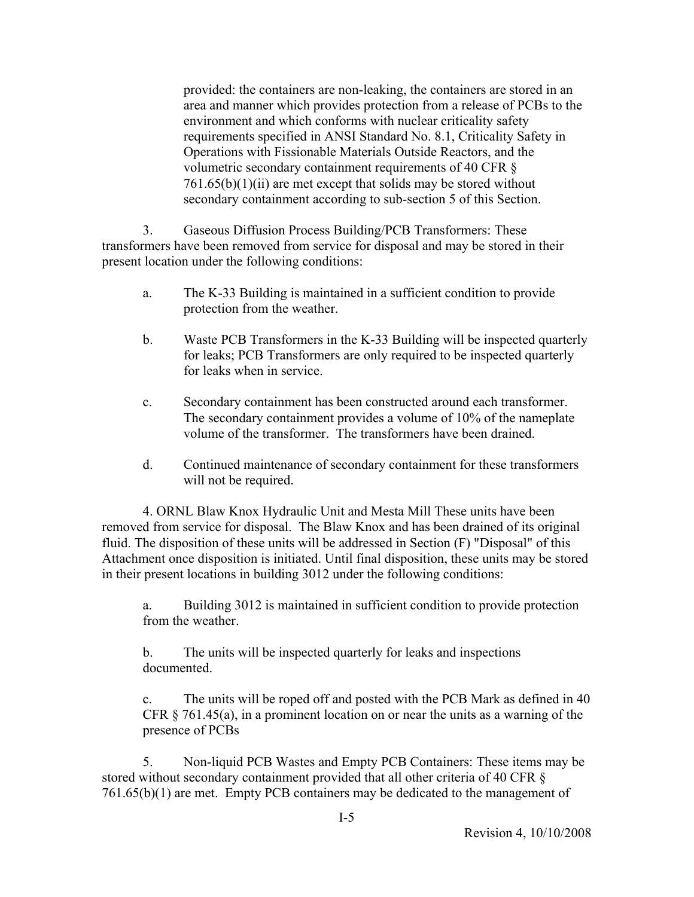provided: the containers are non-leaking, the containers are stored in an area and manner which provides protection from a release of PCBs to the environment and which conforms with nuclear criticality safety requirements specified in ANSI Standard No. 8.1, Criticality Safety in Operations with Fissionable Materials Outside Reactors, and the volumetric secondary containment requirements of 40 CFR §  $761.65(b)(1)(ii)$  are met except that solids may be stored without secondary containment according to sub-section 5 of this Section.

 3. Gaseous Diffusion Process Building/PCB Transformers: These transformers have been removed from service for disposal and may be stored in their present location under the following conditions:

- a. The K-33 Building is maintained in a sufficient condition to provide protection from the weather.
- b. Waste PCB Transformers in the K-33 Building will be inspected quarterly for leaks; PCB Transformers are only required to be inspected quarterly for leaks when in service.
- c. Secondary containment has been constructed around each transformer. The secondary containment provides a volume of 10% of the nameplate volume of the transformer. The transformers have been drained.
- d. Continued maintenance of secondary containment for these transformers will not be required.

 4. ORNL Blaw Knox Hydraulic Unit and Mesta Mill These units have been removed from service for disposal. The Blaw Knox and has been drained of its original fluid. The disposition of these units will be addressed in Section (F) "Disposal" of this Attachment once disposition is initiated. Until final disposition, these units may be stored in their present locations in building 3012 under the following conditions:

a. Building 3012 is maintained in sufficient condition to provide protection from the weather.

b. The units will be inspected quarterly for leaks and inspections documented.

c. The units will be roped off and posted with the PCB Mark as defined in 40 CFR  $\S$  761.45(a), in a prominent location on or near the units as a warning of the presence of PCBs

 5. Non-liquid PCB Wastes and Empty PCB Containers: These items may be stored without secondary containment provided that all other criteria of 40 CFR § 761.65(b)(1) are met. Empty PCB containers may be dedicated to the management of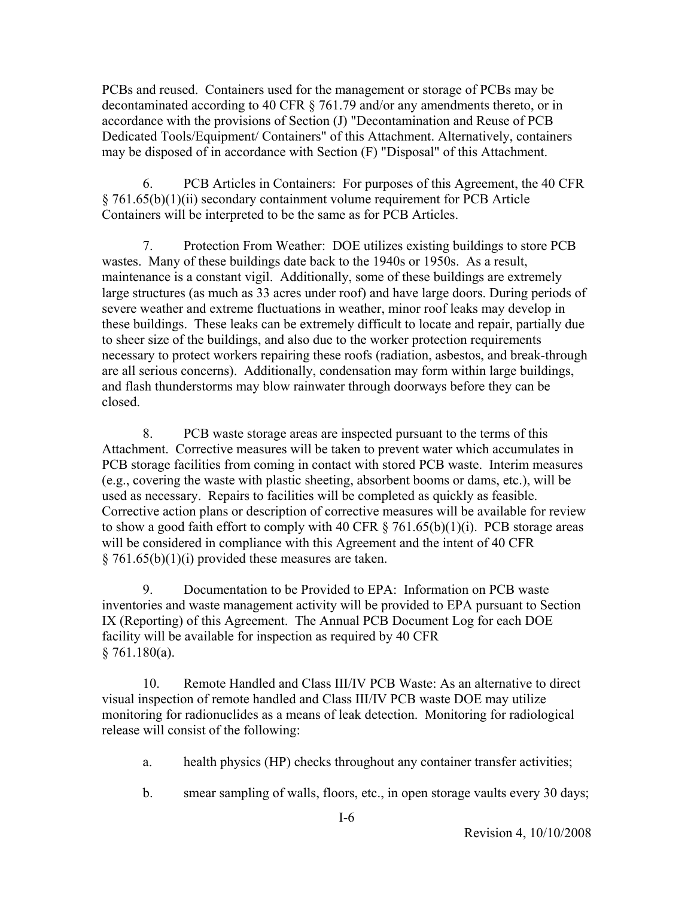PCBs and reused. Containers used for the management or storage of PCBs may be decontaminated according to 40 CFR § 761.79 and/or any amendments thereto, or in accordance with the provisions of Section (J) "Decontamination and Reuse of PCB Dedicated Tools/Equipment/ Containers" of this Attachment. Alternatively, containers may be disposed of in accordance with Section (F) "Disposal" of this Attachment.

 6. PCB Articles in Containers: For purposes of this Agreement, the 40 CFR § 761.65(b)(1)(ii) secondary containment volume requirement for PCB Article Containers will be interpreted to be the same as for PCB Articles.

 7. Protection From Weather: DOE utilizes existing buildings to store PCB wastes. Many of these buildings date back to the 1940s or 1950s. As a result, maintenance is a constant vigil. Additionally, some of these buildings are extremely large structures (as much as 33 acres under roof) and have large doors. During periods of severe weather and extreme fluctuations in weather, minor roof leaks may develop in these buildings. These leaks can be extremely difficult to locate and repair, partially due to sheer size of the buildings, and also due to the worker protection requirements necessary to protect workers repairing these roofs (radiation, asbestos, and break-through are all serious concerns). Additionally, condensation may form within large buildings, and flash thunderstorms may blow rainwater through doorways before they can be closed.

 8. PCB waste storage areas are inspected pursuant to the terms of this Attachment. Corrective measures will be taken to prevent water which accumulates in PCB storage facilities from coming in contact with stored PCB waste. Interim measures (e.g., covering the waste with plastic sheeting, absorbent booms or dams, etc.), will be used as necessary. Repairs to facilities will be completed as quickly as feasible. Corrective action plans or description of corrective measures will be available for review to show a good faith effort to comply with 40 CFR  $\S$  761.65(b)(1)(i). PCB storage areas will be considered in compliance with this Agreement and the intent of 40 CFR  $§ 761.65(b)(1)(i)$  provided these measures are taken.

 9. Documentation to be Provided to EPA: Information on PCB waste inventories and waste management activity will be provided to EPA pursuant to Section IX (Reporting) of this Agreement. The Annual PCB Document Log for each DOE facility will be available for inspection as required by 40 CFR  $§ 761.180(a).$ 

 10. Remote Handled and Class III/IV PCB Waste: As an alternative to direct visual inspection of remote handled and Class III/IV PCB waste DOE may utilize monitoring for radionuclides as a means of leak detection. Monitoring for radiological release will consist of the following:

- a. health physics (HP) checks throughout any container transfer activities;
- b. smear sampling of walls, floors, etc., in open storage vaults every 30 days;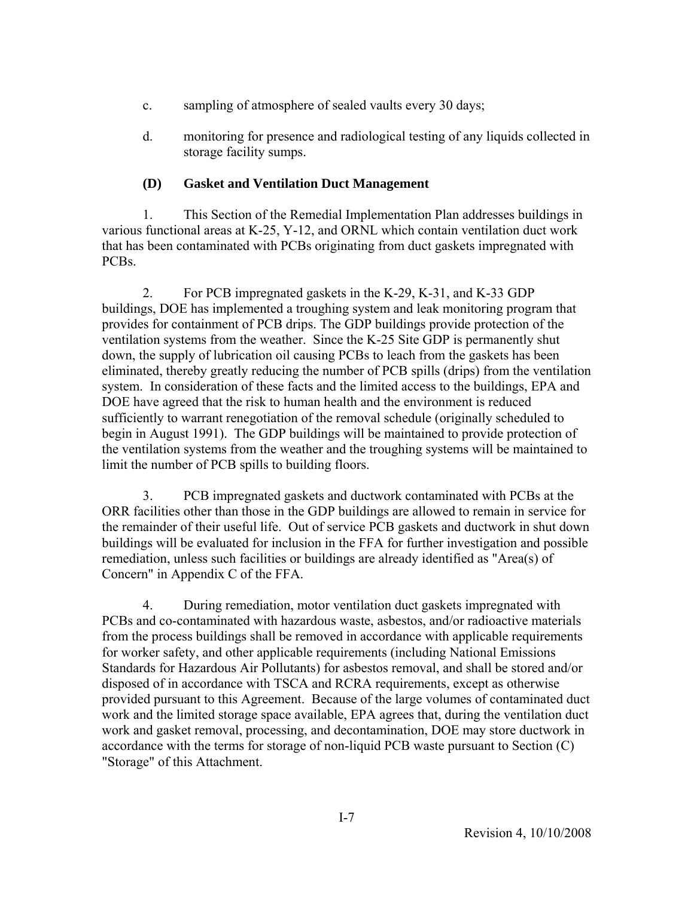- c. sampling of atmosphere of sealed vaults every 30 days;
- d. monitoring for presence and radiological testing of any liquids collected in storage facility sumps.

# **(D) Gasket and Ventilation Duct Management**

 1. This Section of the Remedial Implementation Plan addresses buildings in various functional areas at K-25, Y-12, and ORNL which contain ventilation duct work that has been contaminated with PCBs originating from duct gaskets impregnated with PCBs.

 2. For PCB impregnated gaskets in the K-29, K-31, and K-33 GDP buildings, DOE has implemented a troughing system and leak monitoring program that provides for containment of PCB drips. The GDP buildings provide protection of the ventilation systems from the weather. Since the K-25 Site GDP is permanently shut down, the supply of lubrication oil causing PCBs to leach from the gaskets has been eliminated, thereby greatly reducing the number of PCB spills (drips) from the ventilation system. In consideration of these facts and the limited access to the buildings, EPA and DOE have agreed that the risk to human health and the environment is reduced sufficiently to warrant renegotiation of the removal schedule (originally scheduled to begin in August 1991). The GDP buildings will be maintained to provide protection of the ventilation systems from the weather and the troughing systems will be maintained to limit the number of PCB spills to building floors.

 3. PCB impregnated gaskets and ductwork contaminated with PCBs at the ORR facilities other than those in the GDP buildings are allowed to remain in service for the remainder of their useful life. Out of service PCB gaskets and ductwork in shut down buildings will be evaluated for inclusion in the FFA for further investigation and possible remediation, unless such facilities or buildings are already identified as "Area(s) of Concern" in Appendix C of the FFA.

 4. During remediation, motor ventilation duct gaskets impregnated with PCBs and co-contaminated with hazardous waste, asbestos, and/or radioactive materials from the process buildings shall be removed in accordance with applicable requirements for worker safety, and other applicable requirements (including National Emissions Standards for Hazardous Air Pollutants) for asbestos removal, and shall be stored and/or disposed of in accordance with TSCA and RCRA requirements, except as otherwise provided pursuant to this Agreement. Because of the large volumes of contaminated duct work and the limited storage space available, EPA agrees that, during the ventilation duct work and gasket removal, processing, and decontamination, DOE may store ductwork in accordance with the terms for storage of non-liquid PCB waste pursuant to Section (C) "Storage" of this Attachment.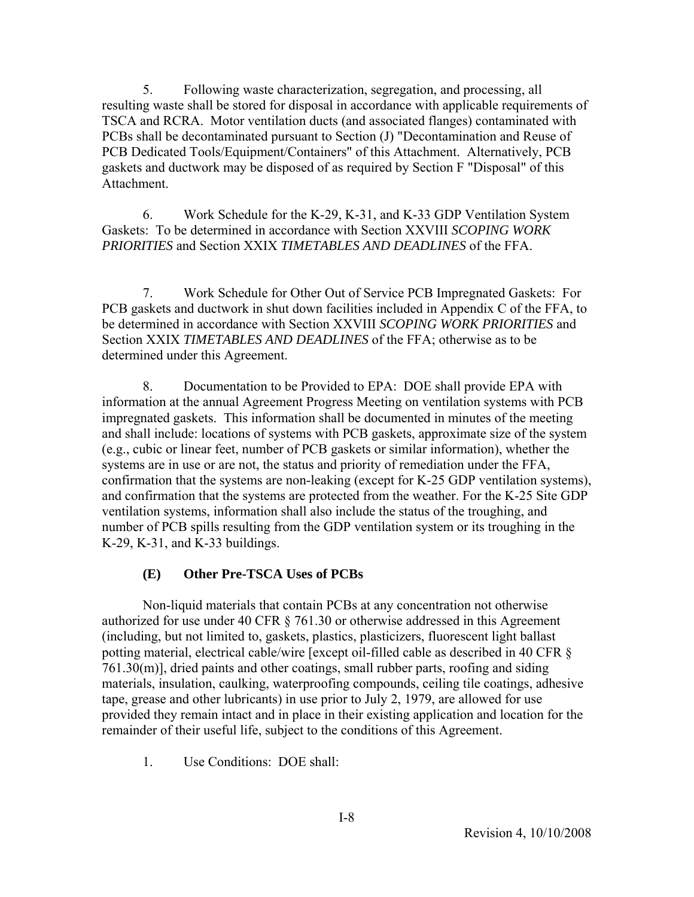5. Following waste characterization, segregation, and processing, all resulting waste shall be stored for disposal in accordance with applicable requirements of TSCA and RCRA. Motor ventilation ducts (and associated flanges) contaminated with PCBs shall be decontaminated pursuant to Section (J) "Decontamination and Reuse of PCB Dedicated Tools/Equipment/Containers" of this Attachment. Alternatively, PCB gaskets and ductwork may be disposed of as required by Section F "Disposal" of this **Attachment** 

 6. Work Schedule for the K-29, K-31, and K-33 GDP Ventilation System Gaskets: To be determined in accordance with Section XXVIII *SCOPING WORK PRIORITIES* and Section XXIX *TIMETABLES AND DEADLINES* of the FFA.

 7. Work Schedule for Other Out of Service PCB Impregnated Gaskets: For PCB gaskets and ductwork in shut down facilities included in Appendix C of the FFA, to be determined in accordance with Section XXVIII *SCOPING WORK PRIORITIES* and Section XXIX *TIMETABLES AND DEADLINES* of the FFA; otherwise as to be determined under this Agreement.

 8. Documentation to be Provided to EPA: DOE shall provide EPA with information at the annual Agreement Progress Meeting on ventilation systems with PCB impregnated gaskets. This information shall be documented in minutes of the meeting and shall include: locations of systems with PCB gaskets, approximate size of the system (e.g., cubic or linear feet, number of PCB gaskets or similar information), whether the systems are in use or are not, the status and priority of remediation under the FFA, confirmation that the systems are non-leaking (except for K-25 GDP ventilation systems), and confirmation that the systems are protected from the weather. For the K-25 Site GDP ventilation systems, information shall also include the status of the troughing, and number of PCB spills resulting from the GDP ventilation system or its troughing in the K-29, K-31, and K-33 buildings.

### **(E) Other Pre-TSCA Uses of PCBs**

 Non-liquid materials that contain PCBs at any concentration not otherwise authorized for use under 40 CFR § 761.30 or otherwise addressed in this Agreement (including, but not limited to, gaskets, plastics, plasticizers, fluorescent light ballast potting material, electrical cable/wire [except oil-filled cable as described in 40 CFR § 761.30(m)], dried paints and other coatings, small rubber parts, roofing and siding materials, insulation, caulking, waterproofing compounds, ceiling tile coatings, adhesive tape, grease and other lubricants) in use prior to July 2, 1979, are allowed for use provided they remain intact and in place in their existing application and location for the remainder of their useful life, subject to the conditions of this Agreement.

1. Use Conditions: DOE shall: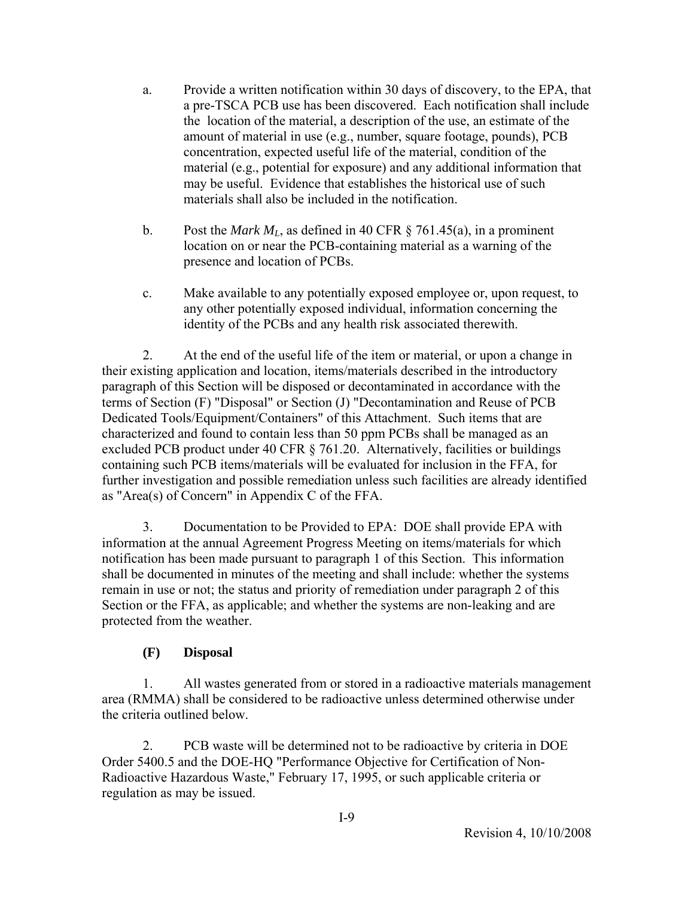- a. Provide a written notification within 30 days of discovery, to the EPA, that a pre-TSCA PCB use has been discovered. Each notification shall include the location of the material, a description of the use, an estimate of the amount of material in use (e.g., number, square footage, pounds), PCB concentration, expected useful life of the material, condition of the material (e.g., potential for exposure) and any additional information that may be useful. Evidence that establishes the historical use of such materials shall also be included in the notification.
- b. Post the *Mark ML*, as defined in 40 CFR § 761.45(a), in a prominent location on or near the PCB-containing material as a warning of the presence and location of PCBs.
- c. Make available to any potentially exposed employee or, upon request, to any other potentially exposed individual, information concerning the identity of the PCBs and any health risk associated therewith.

 2. At the end of the useful life of the item or material, or upon a change in their existing application and location, items/materials described in the introductory paragraph of this Section will be disposed or decontaminated in accordance with the terms of Section (F) "Disposal" or Section (J) "Decontamination and Reuse of PCB Dedicated Tools/Equipment/Containers" of this Attachment. Such items that are characterized and found to contain less than 50 ppm PCBs shall be managed as an excluded PCB product under 40 CFR § 761.20. Alternatively, facilities or buildings containing such PCB items/materials will be evaluated for inclusion in the FFA, for further investigation and possible remediation unless such facilities are already identified as "Area(s) of Concern" in Appendix C of the FFA.

 3. Documentation to be Provided to EPA: DOE shall provide EPA with information at the annual Agreement Progress Meeting on items/materials for which notification has been made pursuant to paragraph 1 of this Section. This information shall be documented in minutes of the meeting and shall include: whether the systems remain in use or not; the status and priority of remediation under paragraph 2 of this Section or the FFA, as applicable; and whether the systems are non-leaking and are protected from the weather.

# **(F) Disposal**

 1. All wastes generated from or stored in a radioactive materials management area (RMMA) shall be considered to be radioactive unless determined otherwise under the criteria outlined below.

 2. PCB waste will be determined not to be radioactive by criteria in DOE Order 5400.5 and the DOE-HQ "Performance Objective for Certification of Non-Radioactive Hazardous Waste," February 17, 1995, or such applicable criteria or regulation as may be issued.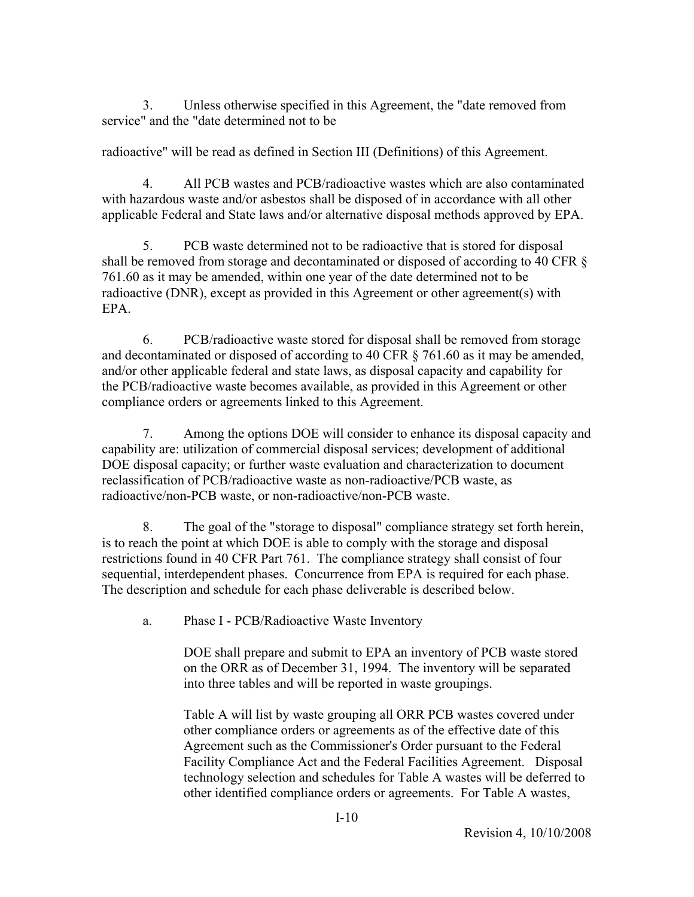3. Unless otherwise specified in this Agreement, the "date removed from service" and the "date determined not to be

radioactive" will be read as defined in Section III (Definitions) of this Agreement.

 4. All PCB wastes and PCB/radioactive wastes which are also contaminated with hazardous waste and/or asbestos shall be disposed of in accordance with all other applicable Federal and State laws and/or alternative disposal methods approved by EPA.

 5. PCB waste determined not to be radioactive that is stored for disposal shall be removed from storage and decontaminated or disposed of according to 40 CFR § 761.60 as it may be amended, within one year of the date determined not to be radioactive (DNR), except as provided in this Agreement or other agreement(s) with EPA.

 6. PCB/radioactive waste stored for disposal shall be removed from storage and decontaminated or disposed of according to 40 CFR § 761.60 as it may be amended, and/or other applicable federal and state laws, as disposal capacity and capability for the PCB/radioactive waste becomes available, as provided in this Agreement or other compliance orders or agreements linked to this Agreement.

 7. Among the options DOE will consider to enhance its disposal capacity and capability are: utilization of commercial disposal services; development of additional DOE disposal capacity; or further waste evaluation and characterization to document reclassification of PCB/radioactive waste as non-radioactive/PCB waste, as radioactive/non-PCB waste, or non-radioactive/non-PCB waste.

 8. The goal of the "storage to disposal" compliance strategy set forth herein, is to reach the point at which DOE is able to comply with the storage and disposal restrictions found in 40 CFR Part 761. The compliance strategy shall consist of four sequential, interdependent phases. Concurrence from EPA is required for each phase. The description and schedule for each phase deliverable is described below.

a. Phase I - PCB/Radioactive Waste Inventory

DOE shall prepare and submit to EPA an inventory of PCB waste stored on the ORR as of December 31, 1994. The inventory will be separated into three tables and will be reported in waste groupings.

Table A will list by waste grouping all ORR PCB wastes covered under other compliance orders or agreements as of the effective date of this Agreement such as the Commissioner's Order pursuant to the Federal Facility Compliance Act and the Federal Facilities Agreement. Disposal technology selection and schedules for Table A wastes will be deferred to other identified compliance orders or agreements. For Table A wastes,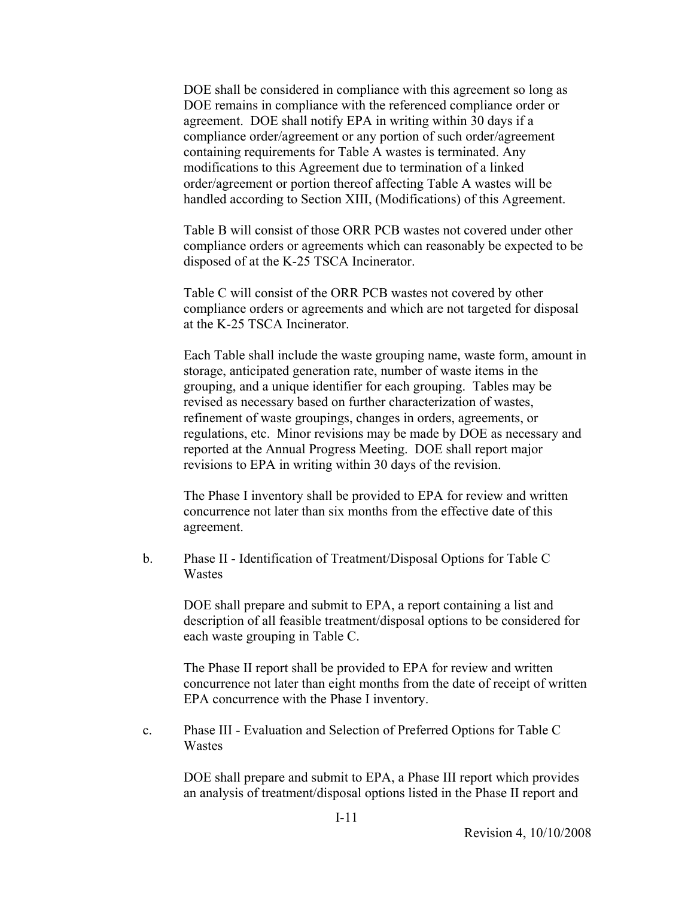DOE shall be considered in compliance with this agreement so long as DOE remains in compliance with the referenced compliance order or agreement. DOE shall notify EPA in writing within 30 days if a compliance order/agreement or any portion of such order/agreement containing requirements for Table A wastes is terminated. Any modifications to this Agreement due to termination of a linked order/agreement or portion thereof affecting Table A wastes will be handled according to Section XIII, (Modifications) of this Agreement.

Table B will consist of those ORR PCB wastes not covered under other compliance orders or agreements which can reasonably be expected to be disposed of at the K-25 TSCA Incinerator.

Table C will consist of the ORR PCB wastes not covered by other compliance orders or agreements and which are not targeted for disposal at the K-25 TSCA Incinerator.

Each Table shall include the waste grouping name, waste form, amount in storage, anticipated generation rate, number of waste items in the grouping, and a unique identifier for each grouping. Tables may be revised as necessary based on further characterization of wastes, refinement of waste groupings, changes in orders, agreements, or regulations, etc. Minor revisions may be made by DOE as necessary and reported at the Annual Progress Meeting. DOE shall report major revisions to EPA in writing within 30 days of the revision.

The Phase I inventory shall be provided to EPA for review and written concurrence not later than six months from the effective date of this agreement.

b. Phase II - Identification of Treatment/Disposal Options for Table C Wastes

DOE shall prepare and submit to EPA, a report containing a list and description of all feasible treatment/disposal options to be considered for each waste grouping in Table C.

The Phase II report shall be provided to EPA for review and written concurrence not later than eight months from the date of receipt of written EPA concurrence with the Phase I inventory.

c. Phase III - Evaluation and Selection of Preferred Options for Table C Wastes

DOE shall prepare and submit to EPA, a Phase III report which provides an analysis of treatment/disposal options listed in the Phase II report and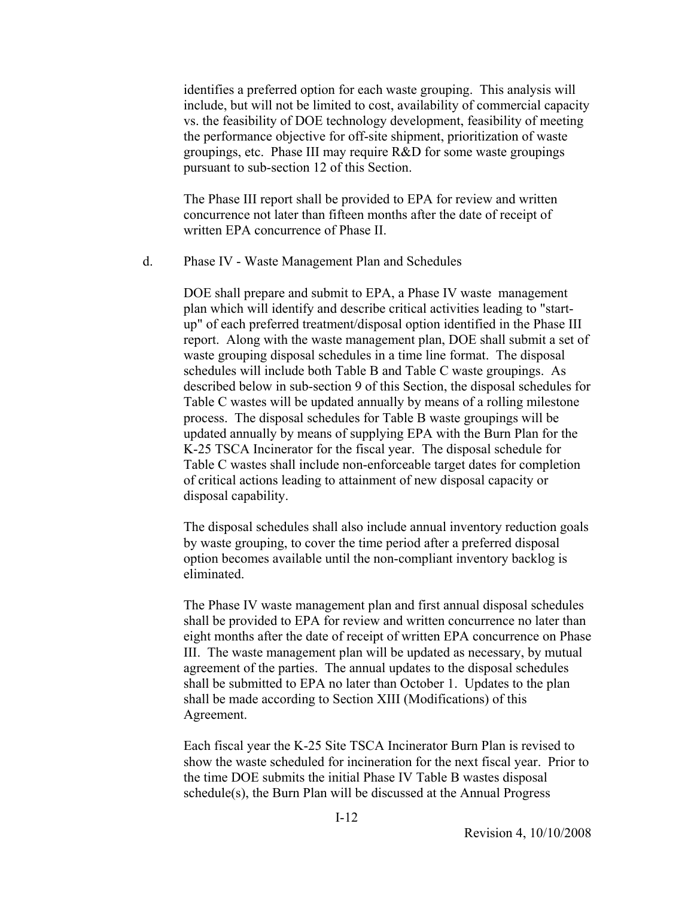identifies a preferred option for each waste grouping. This analysis will include, but will not be limited to cost, availability of commercial capacity vs. the feasibility of DOE technology development, feasibility of meeting the performance objective for off-site shipment, prioritization of waste groupings, etc. Phase III may require R&D for some waste groupings pursuant to sub-section 12 of this Section.

The Phase III report shall be provided to EPA for review and written concurrence not later than fifteen months after the date of receipt of written EPA concurrence of Phase II.

d. Phase IV - Waste Management Plan and Schedules

DOE shall prepare and submit to EPA, a Phase IV waste management plan which will identify and describe critical activities leading to "startup" of each preferred treatment/disposal option identified in the Phase III report. Along with the waste management plan, DOE shall submit a set of waste grouping disposal schedules in a time line format. The disposal schedules will include both Table B and Table C waste groupings. As described below in sub-section 9 of this Section, the disposal schedules for Table C wastes will be updated annually by means of a rolling milestone process. The disposal schedules for Table B waste groupings will be updated annually by means of supplying EPA with the Burn Plan for the K-25 TSCA Incinerator for the fiscal year. The disposal schedule for Table C wastes shall include non-enforceable target dates for completion of critical actions leading to attainment of new disposal capacity or disposal capability.

The disposal schedules shall also include annual inventory reduction goals by waste grouping, to cover the time period after a preferred disposal option becomes available until the non-compliant inventory backlog is eliminated.

The Phase IV waste management plan and first annual disposal schedules shall be provided to EPA for review and written concurrence no later than eight months after the date of receipt of written EPA concurrence on Phase III. The waste management plan will be updated as necessary, by mutual agreement of the parties. The annual updates to the disposal schedules shall be submitted to EPA no later than October 1. Updates to the plan shall be made according to Section XIII (Modifications) of this Agreement.

Each fiscal year the K-25 Site TSCA Incinerator Burn Plan is revised to show the waste scheduled for incineration for the next fiscal year. Prior to the time DOE submits the initial Phase IV Table B wastes disposal schedule(s), the Burn Plan will be discussed at the Annual Progress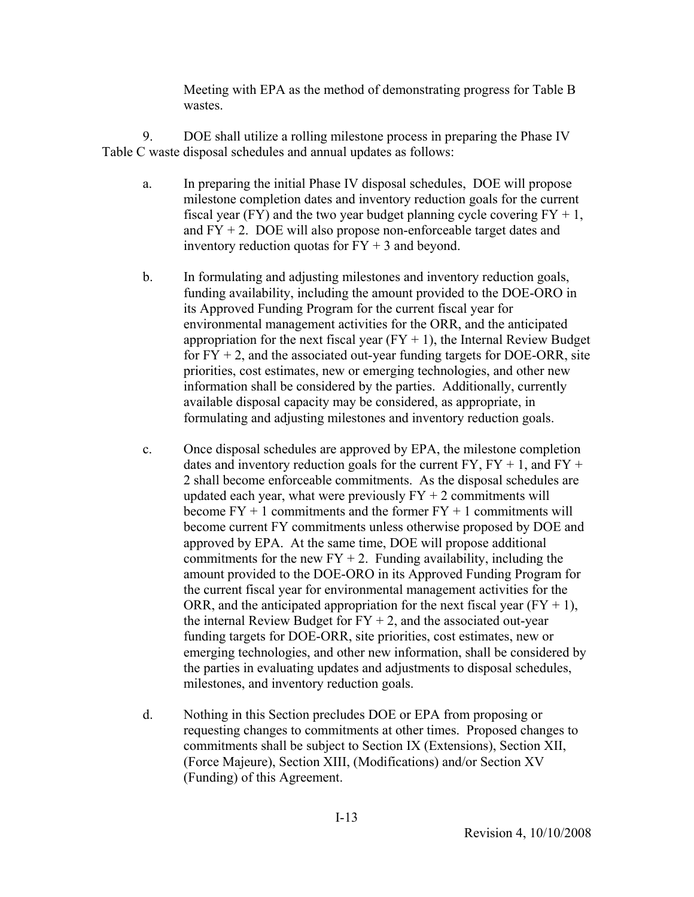Meeting with EPA as the method of demonstrating progress for Table B wastes.

 9. DOE shall utilize a rolling milestone process in preparing the Phase IV Table C waste disposal schedules and annual updates as follows:

- a. In preparing the initial Phase IV disposal schedules, DOE will propose milestone completion dates and inventory reduction goals for the current fiscal year (FY) and the two year budget planning cycle covering  $FY + 1$ , and  $FY + 2$ . DOE will also propose non-enforceable target dates and inventory reduction quotas for  $FY + 3$  and beyond.
- b. In formulating and adjusting milestones and inventory reduction goals, funding availability, including the amount provided to the DOE-ORO in its Approved Funding Program for the current fiscal year for environmental management activities for the ORR, and the anticipated appropriation for the next fiscal year  $(FY + 1)$ , the Internal Review Budget for  $FY + 2$ , and the associated out-year funding targets for DOE-ORR, site priorities, cost estimates, new or emerging technologies, and other new information shall be considered by the parties. Additionally, currently available disposal capacity may be considered, as appropriate, in formulating and adjusting milestones and inventory reduction goals.
- c. Once disposal schedules are approved by EPA, the milestone completion dates and inventory reduction goals for the current  $FY$ ,  $FY + 1$ , and  $FY + 1$ 2 shall become enforceable commitments. As the disposal schedules are updated each year, what were previously  $FY + 2$  commitments will become  $FY + 1$  commitments and the former  $FY + 1$  commitments will become current FY commitments unless otherwise proposed by DOE and approved by EPA. At the same time, DOE will propose additional commitments for the new  $FY + 2$ . Funding availability, including the amount provided to the DOE-ORO in its Approved Funding Program for the current fiscal year for environmental management activities for the ORR, and the anticipated appropriation for the next fiscal year  $(FY + 1)$ , the internal Review Budget for  $FY + 2$ , and the associated out-year funding targets for DOE-ORR, site priorities, cost estimates, new or emerging technologies, and other new information, shall be considered by the parties in evaluating updates and adjustments to disposal schedules, milestones, and inventory reduction goals.
- d. Nothing in this Section precludes DOE or EPA from proposing or requesting changes to commitments at other times. Proposed changes to commitments shall be subject to Section IX (Extensions), Section XII, (Force Majeure), Section XIII, (Modifications) and/or Section XV (Funding) of this Agreement.

I-13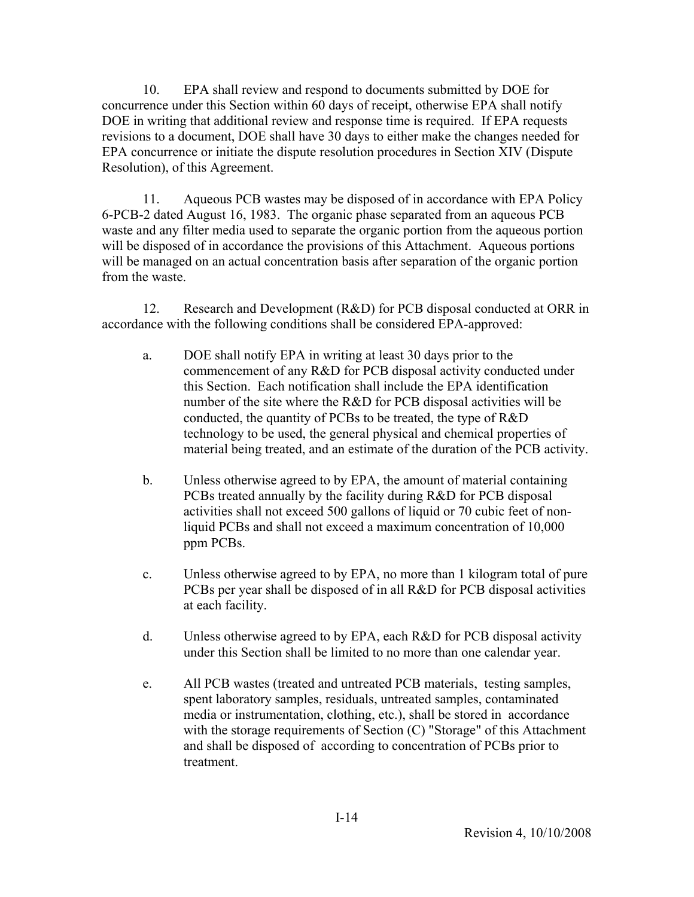10. EPA shall review and respond to documents submitted by DOE for concurrence under this Section within 60 days of receipt, otherwise EPA shall notify DOE in writing that additional review and response time is required. If EPA requests revisions to a document, DOE shall have 30 days to either make the changes needed for EPA concurrence or initiate the dispute resolution procedures in Section XIV (Dispute Resolution), of this Agreement.

 11. Aqueous PCB wastes may be disposed of in accordance with EPA Policy 6-PCB-2 dated August 16, 1983. The organic phase separated from an aqueous PCB waste and any filter media used to separate the organic portion from the aqueous portion will be disposed of in accordance the provisions of this Attachment. Aqueous portions will be managed on an actual concentration basis after separation of the organic portion from the waste.

 12. Research and Development (R&D) for PCB disposal conducted at ORR in accordance with the following conditions shall be considered EPA-approved:

- a. DOE shall notify EPA in writing at least 30 days prior to the commencement of any R&D for PCB disposal activity conducted under this Section. Each notification shall include the EPA identification number of the site where the R&D for PCB disposal activities will be conducted, the quantity of PCBs to be treated, the type of R&D technology to be used, the general physical and chemical properties of material being treated, and an estimate of the duration of the PCB activity.
- b. Unless otherwise agreed to by EPA, the amount of material containing PCBs treated annually by the facility during R&D for PCB disposal activities shall not exceed 500 gallons of liquid or 70 cubic feet of nonliquid PCBs and shall not exceed a maximum concentration of 10,000 ppm PCBs.
- c. Unless otherwise agreed to by EPA, no more than 1 kilogram total of pure PCBs per year shall be disposed of in all R&D for PCB disposal activities at each facility.
- d. Unless otherwise agreed to by EPA, each R&D for PCB disposal activity under this Section shall be limited to no more than one calendar year.
- e. All PCB wastes (treated and untreated PCB materials, testing samples, spent laboratory samples, residuals, untreated samples, contaminated media or instrumentation, clothing, etc.), shall be stored in accordance with the storage requirements of Section (C) "Storage" of this Attachment and shall be disposed of according to concentration of PCBs prior to treatment.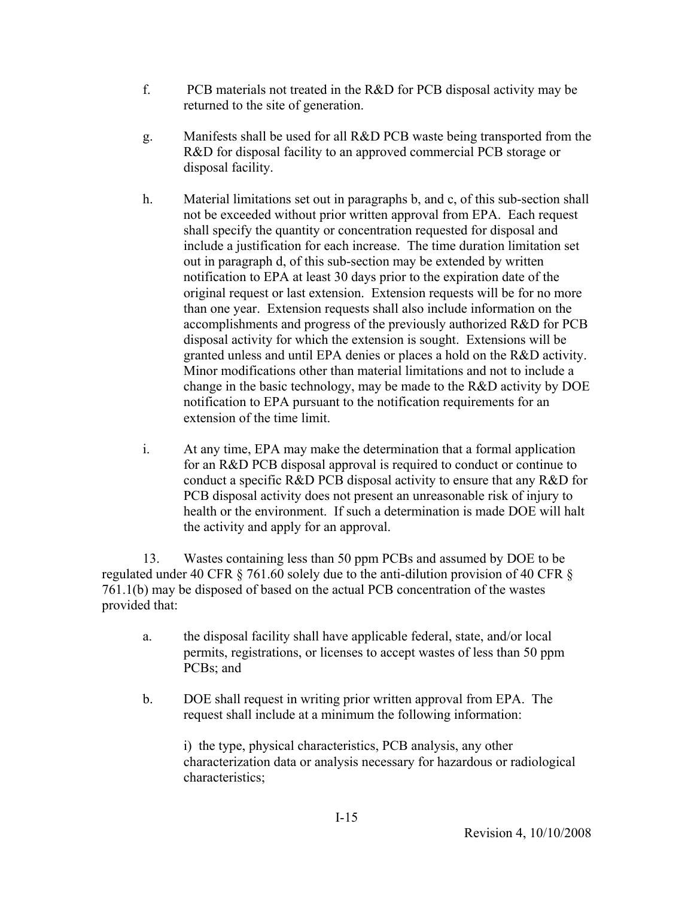- f. PCB materials not treated in the R&D for PCB disposal activity may be returned to the site of generation.
- g. Manifests shall be used for all R&D PCB waste being transported from the R&D for disposal facility to an approved commercial PCB storage or disposal facility.
- h. Material limitations set out in paragraphs b, and c, of this sub-section shall not be exceeded without prior written approval from EPA. Each request shall specify the quantity or concentration requested for disposal and include a justification for each increase. The time duration limitation set out in paragraph d, of this sub-section may be extended by written notification to EPA at least 30 days prior to the expiration date of the original request or last extension. Extension requests will be for no more than one year. Extension requests shall also include information on the accomplishments and progress of the previously authorized R&D for PCB disposal activity for which the extension is sought. Extensions will be granted unless and until EPA denies or places a hold on the R&D activity. Minor modifications other than material limitations and not to include a change in the basic technology, may be made to the R&D activity by DOE notification to EPA pursuant to the notification requirements for an extension of the time limit.
- i. At any time, EPA may make the determination that a formal application for an R&D PCB disposal approval is required to conduct or continue to conduct a specific R&D PCB disposal activity to ensure that any R&D for PCB disposal activity does not present an unreasonable risk of injury to health or the environment. If such a determination is made DOE will halt the activity and apply for an approval.

 13. Wastes containing less than 50 ppm PCBs and assumed by DOE to be regulated under 40 CFR § 761.60 solely due to the anti-dilution provision of 40 CFR § 761.1(b) may be disposed of based on the actual PCB concentration of the wastes provided that:

- a. the disposal facility shall have applicable federal, state, and/or local permits, registrations, or licenses to accept wastes of less than 50 ppm PCBs; and
- b. DOE shall request in writing prior written approval from EPA. The request shall include at a minimum the following information:

i) the type, physical characteristics, PCB analysis, any other characterization data or analysis necessary for hazardous or radiological characteristics;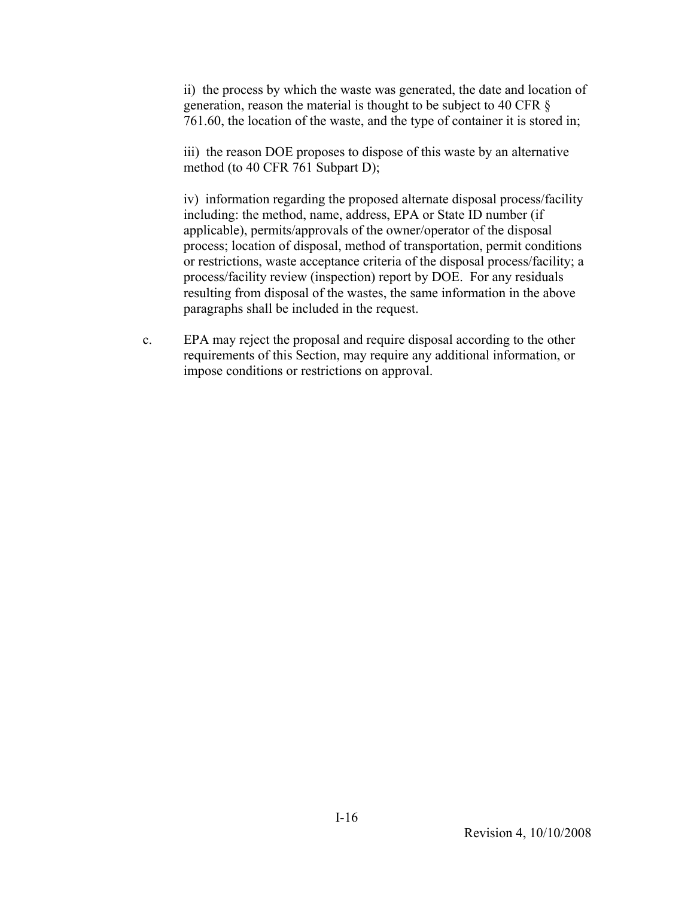ii) the process by which the waste was generated, the date and location of generation, reason the material is thought to be subject to 40 CFR § 761.60, the location of the waste, and the type of container it is stored in;

iii) the reason DOE proposes to dispose of this waste by an alternative method (to 40 CFR 761 Subpart D);

iv) information regarding the proposed alternate disposal process/facility including: the method, name, address, EPA or State ID number (if applicable), permits/approvals of the owner/operator of the disposal process; location of disposal, method of transportation, permit conditions or restrictions, waste acceptance criteria of the disposal process/facility; a process/facility review (inspection) report by DOE. For any residuals resulting from disposal of the wastes, the same information in the above paragraphs shall be included in the request.

c. EPA may reject the proposal and require disposal according to the other requirements of this Section, may require any additional information, or impose conditions or restrictions on approval.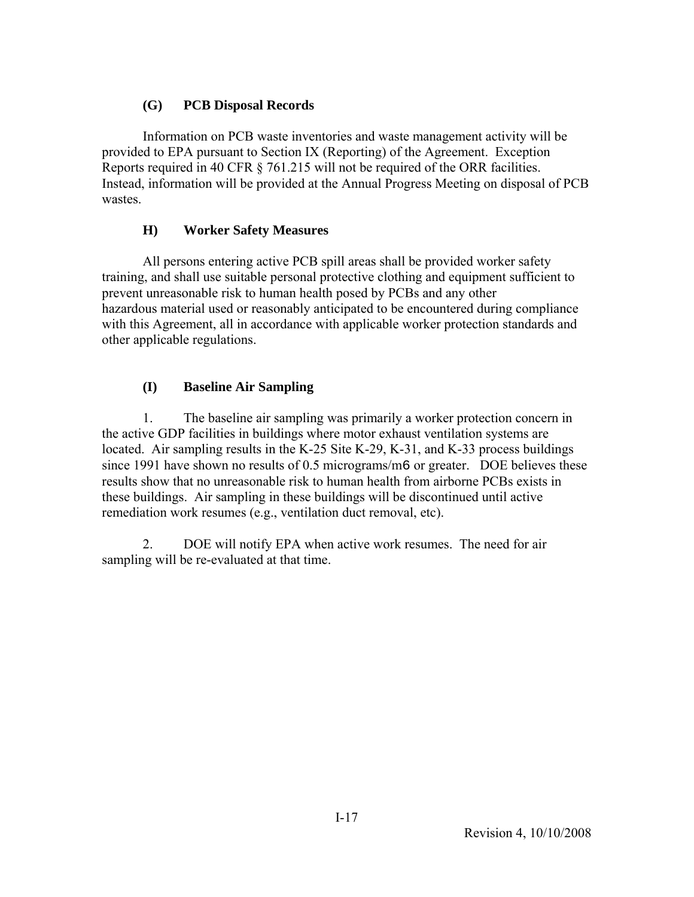# **(G) PCB Disposal Records**

 Information on PCB waste inventories and waste management activity will be provided to EPA pursuant to Section IX (Reporting) of the Agreement. Exception Reports required in 40 CFR § 761.215 will not be required of the ORR facilities. Instead, information will be provided at the Annual Progress Meeting on disposal of PCB wastes.

# **H) Worker Safety Measures**

 All persons entering active PCB spill areas shall be provided worker safety training, and shall use suitable personal protective clothing and equipment sufficient to prevent unreasonable risk to human health posed by PCBs and any other hazardous material used or reasonably anticipated to be encountered during compliance with this Agreement, all in accordance with applicable worker protection standards and other applicable regulations.

# **(I) Baseline Air Sampling**

 1. The baseline air sampling was primarily a worker protection concern in the active GDP facilities in buildings where motor exhaust ventilation systems are located. Air sampling results in the K-25 Site K-29, K-31, and K-33 process buildings since 1991 have shown no results of 0.5 micrograms/m6 or greater. DOE believes these results show that no unreasonable risk to human health from airborne PCBs exists in these buildings. Air sampling in these buildings will be discontinued until active remediation work resumes (e.g., ventilation duct removal, etc).

 2. DOE will notify EPA when active work resumes. The need for air sampling will be re-evaluated at that time.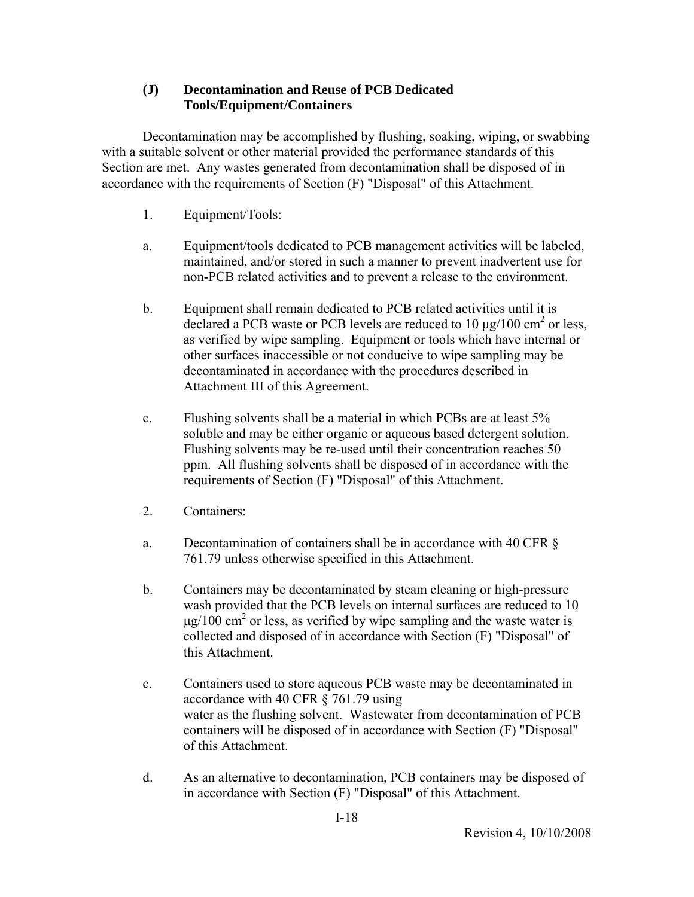# **(J) Decontamination and Reuse of PCB Dedicated Tools/Equipment/Containers**

 Decontamination may be accomplished by flushing, soaking, wiping, or swabbing with a suitable solvent or other material provided the performance standards of this Section are met. Any wastes generated from decontamination shall be disposed of in accordance with the requirements of Section (F) "Disposal" of this Attachment.

- 1. Equipment/Tools:
- a. Equipment/tools dedicated to PCB management activities will be labeled, maintained, and/or stored in such a manner to prevent inadvertent use for non-PCB related activities and to prevent a release to the environment.
- b. Equipment shall remain dedicated to PCB related activities until it is declared a PCB waste or PCB levels are reduced to 10  $\mu$ g/100 cm<sup>2</sup> or less, as verified by wipe sampling. Equipment or tools which have internal or other surfaces inaccessible or not conducive to wipe sampling may be decontaminated in accordance with the procedures described in Attachment III of this Agreement.
- c. Flushing solvents shall be a material in which PCBs are at least 5% soluble and may be either organic or aqueous based detergent solution. Flushing solvents may be re-used until their concentration reaches 50 ppm. All flushing solvents shall be disposed of in accordance with the requirements of Section (F) "Disposal" of this Attachment.
- 2. Containers:
- a. Decontamination of containers shall be in accordance with 40 CFR § 761.79 unless otherwise specified in this Attachment.
- b. Containers may be decontaminated by steam cleaning or high-pressure wash provided that the PCB levels on internal surfaces are reduced to 10  $\mu$ g/100 cm<sup>2</sup> or less, as verified by wipe sampling and the waste water is collected and disposed of in accordance with Section (F) "Disposal" of this Attachment.
- c. Containers used to store aqueous PCB waste may be decontaminated in accordance with 40 CFR § 761.79 using water as the flushing solvent. Wastewater from decontamination of PCB containers will be disposed of in accordance with Section (F) "Disposal" of this Attachment.
- d. As an alternative to decontamination, PCB containers may be disposed of in accordance with Section (F) "Disposal" of this Attachment.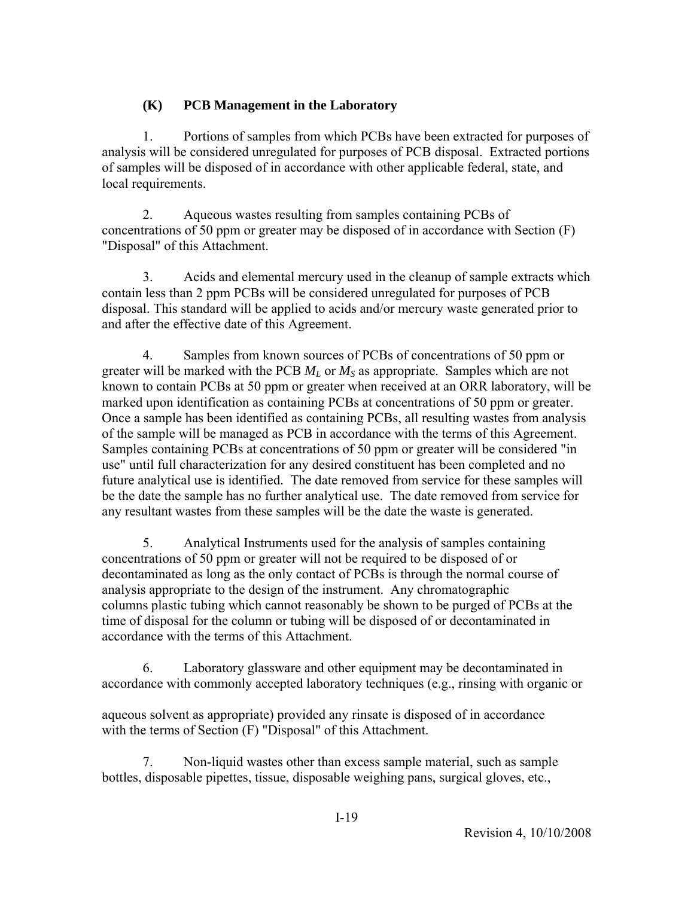# **(K) PCB Management in the Laboratory**

 1. Portions of samples from which PCBs have been extracted for purposes of analysis will be considered unregulated for purposes of PCB disposal. Extracted portions of samples will be disposed of in accordance with other applicable federal, state, and local requirements.

 2. Aqueous wastes resulting from samples containing PCBs of concentrations of 50 ppm or greater may be disposed of in accordance with Section (F) "Disposal" of this Attachment.

 3. Acids and elemental mercury used in the cleanup of sample extracts which contain less than 2 ppm PCBs will be considered unregulated for purposes of PCB disposal. This standard will be applied to acids and/or mercury waste generated prior to and after the effective date of this Agreement.

 4. Samples from known sources of PCBs of concentrations of 50 ppm or greater will be marked with the PCB *ML* or *MS* as appropriate. Samples which are not known to contain PCBs at 50 ppm or greater when received at an ORR laboratory, will be marked upon identification as containing PCBs at concentrations of 50 ppm or greater. Once a sample has been identified as containing PCBs, all resulting wastes from analysis of the sample will be managed as PCB in accordance with the terms of this Agreement. Samples containing PCBs at concentrations of 50 ppm or greater will be considered "in use" until full characterization for any desired constituent has been completed and no future analytical use is identified. The date removed from service for these samples will be the date the sample has no further analytical use. The date removed from service for any resultant wastes from these samples will be the date the waste is generated.

 5. Analytical Instruments used for the analysis of samples containing concentrations of 50 ppm or greater will not be required to be disposed of or decontaminated as long as the only contact of PCBs is through the normal course of analysis appropriate to the design of the instrument. Any chromatographic columns plastic tubing which cannot reasonably be shown to be purged of PCBs at the time of disposal for the column or tubing will be disposed of or decontaminated in accordance with the terms of this Attachment.

 6. Laboratory glassware and other equipment may be decontaminated in accordance with commonly accepted laboratory techniques (e.g., rinsing with organic or

aqueous solvent as appropriate) provided any rinsate is disposed of in accordance with the terms of Section (F) "Disposal" of this Attachment.

 7. Non-liquid wastes other than excess sample material, such as sample bottles, disposable pipettes, tissue, disposable weighing pans, surgical gloves, etc.,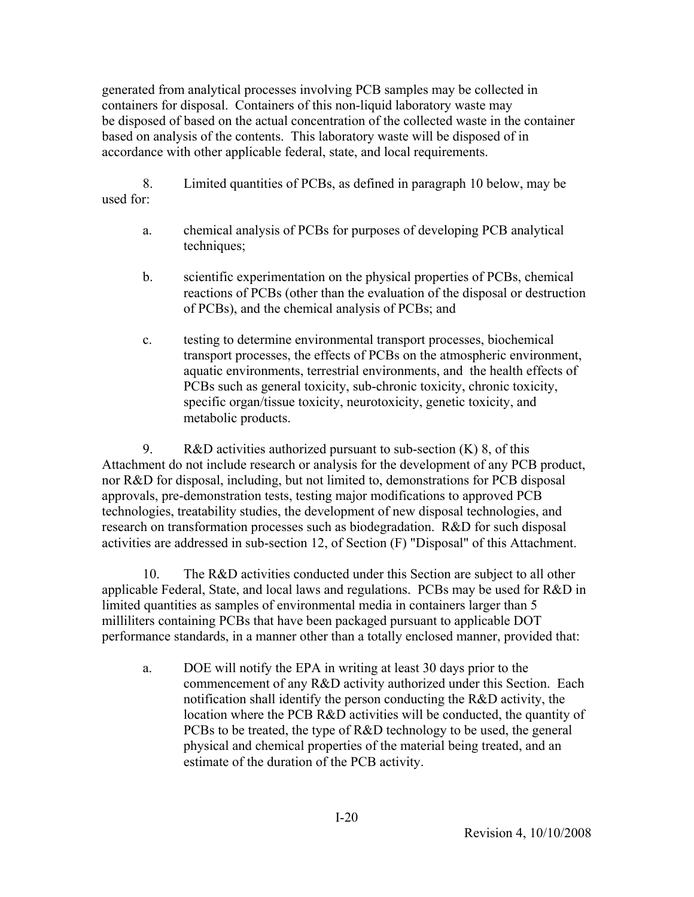generated from analytical processes involving PCB samples may be collected in containers for disposal. Containers of this non-liquid laboratory waste may be disposed of based on the actual concentration of the collected waste in the container based on analysis of the contents. This laboratory waste will be disposed of in accordance with other applicable federal, state, and local requirements.

 8. Limited quantities of PCBs, as defined in paragraph 10 below, may be used for:

- a. chemical analysis of PCBs for purposes of developing PCB analytical techniques;
- b. scientific experimentation on the physical properties of PCBs, chemical reactions of PCBs (other than the evaluation of the disposal or destruction of PCBs), and the chemical analysis of PCBs; and
- c. testing to determine environmental transport processes, biochemical transport processes, the effects of PCBs on the atmospheric environment, aquatic environments, terrestrial environments, and the health effects of PCBs such as general toxicity, sub-chronic toxicity, chronic toxicity, specific organ/tissue toxicity, neurotoxicity, genetic toxicity, and metabolic products.

9. R&D activities authorized pursuant to sub-section  $(K)$  8, of this Attachment do not include research or analysis for the development of any PCB product, nor R&D for disposal, including, but not limited to, demonstrations for PCB disposal approvals, pre-demonstration tests, testing major modifications to approved PCB technologies, treatability studies, the development of new disposal technologies, and research on transformation processes such as biodegradation. R&D for such disposal activities are addressed in sub-section 12, of Section (F) "Disposal" of this Attachment.

 10. The R&D activities conducted under this Section are subject to all other applicable Federal, State, and local laws and regulations. PCBs may be used for R&D in limited quantities as samples of environmental media in containers larger than 5 milliliters containing PCBs that have been packaged pursuant to applicable DOT performance standards, in a manner other than a totally enclosed manner, provided that:

a. DOE will notify the EPA in writing at least 30 days prior to the commencement of any R&D activity authorized under this Section. Each notification shall identify the person conducting the R&D activity, the location where the PCB R&D activities will be conducted, the quantity of PCBs to be treated, the type of R&D technology to be used, the general physical and chemical properties of the material being treated, and an estimate of the duration of the PCB activity.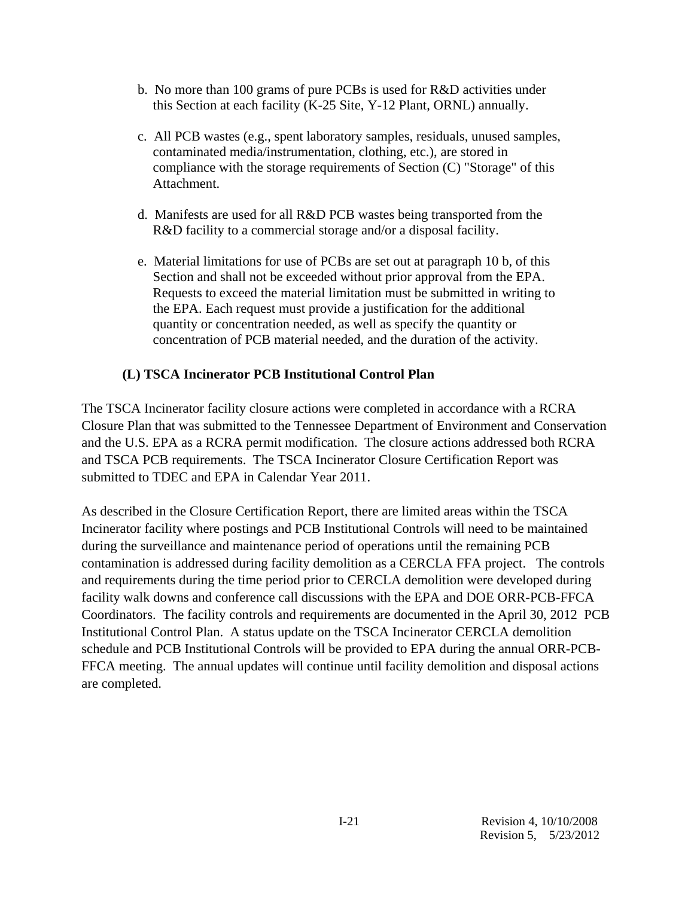- b. No more than 100 grams of pure PCBs is used for R&D activities under this Section at each facility (K-25 Site, Y-12 Plant, ORNL) annually.
- c. All PCB wastes (e.g., spent laboratory samples, residuals, unused samples, contaminated media/instrumentation, clothing, etc.), are stored in compliance with the storage requirements of Section (C) "Storage" of this Attachment.
- d. Manifests are used for all R&D PCB wastes being transported from the R&D facility to a commercial storage and/or a disposal facility.
- e. Material limitations for use of PCBs are set out at paragraph 10 b, of this Section and shall not be exceeded without prior approval from the EPA. Requests to exceed the material limitation must be submitted in writing to the EPA. Each request must provide a justification for the additional quantity or concentration needed, as well as specify the quantity or concentration of PCB material needed, and the duration of the activity.

# **(L) TSCA Incinerator PCB Institutional Control Plan**

The TSCA Incinerator facility closure actions were completed in accordance with a RCRA Closure Plan that was submitted to the Tennessee Department of Environment and Conservation and the U.S. EPA as a RCRA permit modification. The closure actions addressed both RCRA and TSCA PCB requirements. The TSCA Incinerator Closure Certification Report was submitted to TDEC and EPA in Calendar Year 2011.

As described in the Closure Certification Report, there are limited areas within the TSCA Incinerator facility where postings and PCB Institutional Controls will need to be maintained during the surveillance and maintenance period of operations until the remaining PCB contamination is addressed during facility demolition as a CERCLA FFA project. The controls and requirements during the time period prior to CERCLA demolition were developed during facility walk downs and conference call discussions with the EPA and DOE ORR-PCB-FFCA Coordinators. The facility controls and requirements are documented in the April 30, 2012 PCB Institutional Control Plan. A status update on the TSCA Incinerator CERCLA demolition schedule and PCB Institutional Controls will be provided to EPA during the annual ORR-PCB-FFCA meeting. The annual updates will continue until facility demolition and disposal actions are completed.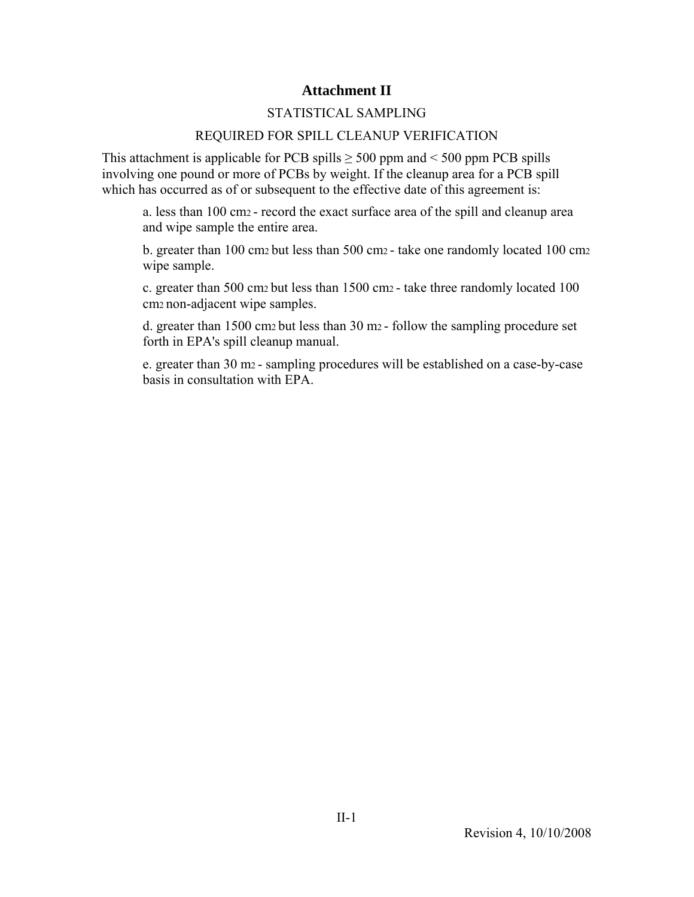# **Attachment II**

### STATISTICAL SAMPLING

### REQUIRED FOR SPILL CLEANUP VERIFICATION

This attachment is applicable for PCB spills  $\geq$  500 ppm and < 500 ppm PCB spills involving one pound or more of PCBs by weight. If the cleanup area for a PCB spill which has occurred as of or subsequent to the effective date of this agreement is:

a. less than 100 cm2 - record the exact surface area of the spill and cleanup area and wipe sample the entire area.

b. greater than 100 cm2 but less than 500 cm2 - take one randomly located 100 cm2 wipe sample.

c. greater than 500 cm2 but less than 1500 cm2 - take three randomly located 100 cm2 non-adjacent wipe samples.

d. greater than 1500 cm2 but less than 30 m2 - follow the sampling procedure set forth in EPA's spill cleanup manual.

e. greater than 30 m2 - sampling procedures will be established on a case-by-case basis in consultation with EPA.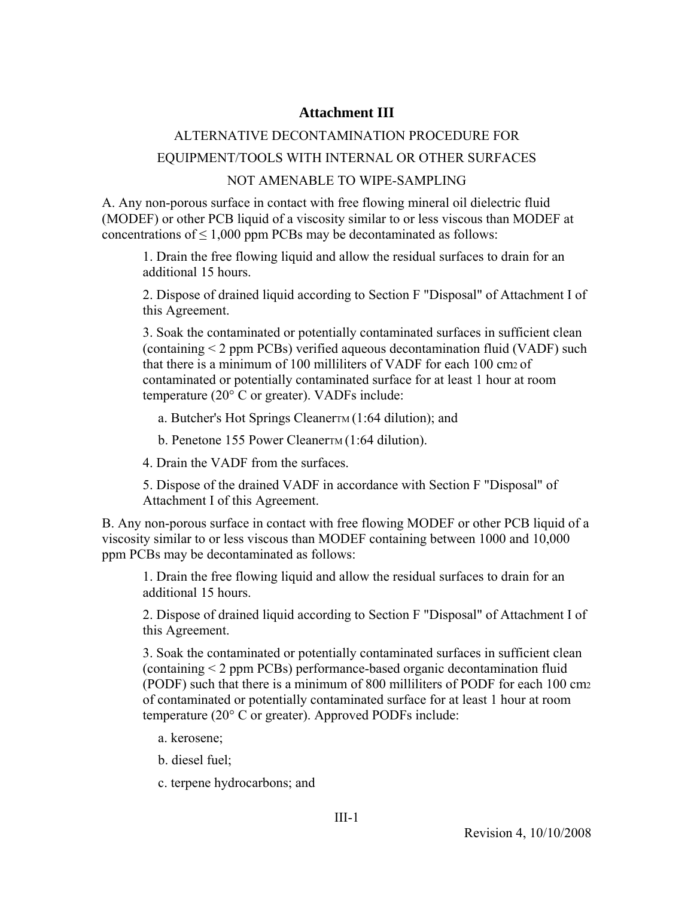# **Attachment III**

# ALTERNATIVE DECONTAMINATION PROCEDURE FOR

# EQUIPMENT/TOOLS WITH INTERNAL OR OTHER SURFACES

### NOT AMENABLE TO WIPE-SAMPLING

A. Any non-porous surface in contact with free flowing mineral oil dielectric fluid (MODEF) or other PCB liquid of a viscosity similar to or less viscous than MODEF at concentrations of  $\leq 1,000$  ppm PCBs may be decontaminated as follows:

1. Drain the free flowing liquid and allow the residual surfaces to drain for an additional 15 hours.

2. Dispose of drained liquid according to Section F "Disposal" of Attachment I of this Agreement.

3. Soak the contaminated or potentially contaminated surfaces in sufficient clean (containing < 2 ppm PCBs) verified aqueous decontamination fluid (VADF) such that there is a minimum of 100 milliliters of VADF for each 100 cm2 of contaminated or potentially contaminated surface for at least 1 hour at room temperature (20° C or greater). VADFs include:

a. Butcher's Hot Springs CleanerTM  $(1:64$  dilution); and

b. Penetone 155 Power Cleaner<sub>TM</sub> (1:64 dilution).

4. Drain the VADF from the surfaces.

5. Dispose of the drained VADF in accordance with Section F "Disposal" of Attachment I of this Agreement.

B. Any non-porous surface in contact with free flowing MODEF or other PCB liquid of a viscosity similar to or less viscous than MODEF containing between 1000 and 10,000 ppm PCBs may be decontaminated as follows:

1. Drain the free flowing liquid and allow the residual surfaces to drain for an additional 15 hours.

2. Dispose of drained liquid according to Section F "Disposal" of Attachment I of this Agreement.

3. Soak the contaminated or potentially contaminated surfaces in sufficient clean (containing < 2 ppm PCBs) performance-based organic decontamination fluid (PODF) such that there is a minimum of 800 milliliters of PODF for each 100 cm2 of contaminated or potentially contaminated surface for at least 1 hour at room temperature (20° C or greater). Approved PODFs include:

a. kerosene;

b. diesel fuel;

c. terpene hydrocarbons; and